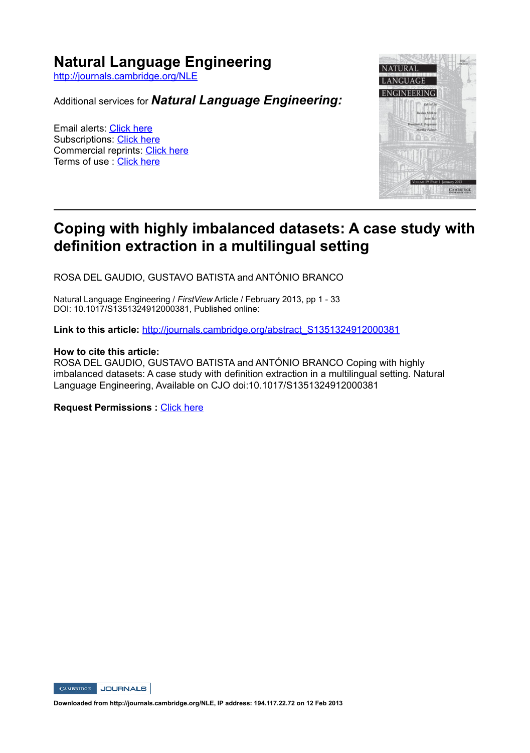## **Natural Language Engineering**

http://journals.cambridge.org/NLE

Additional services for *Natural Language Engineering:*

Email alerts: Click here Subscriptions: Click here Commercial reprints: Click here Terms of use : Click here



# **Coping with highly imbalanced datasets: A case study with definition extraction in a multilingual setting**

ROSA DEL GAUDIO, GUSTAVO BATISTA and ANTÓNIO BRANCO

Natural Language Engineering / FirstView Article / February 2013, pp 1 - 33 DOI: 10.1017/S1351324912000381, Published online:

**Link to this article:** http://journals.cambridge.org/abstract\_S1351324912000381

#### **How to cite this article:**

ROSA DEL GAUDIO, GUSTAVO BATISTA and ANTÓNIO BRANCO Coping with highly imbalanced datasets: A case study with definition extraction in a multilingual setting. Natural Language Engineering, Available on CJO doi:10.1017/S1351324912000381

**Request Permissions : Click here** 



**Downloaded from http://journals.cambridge.org/NLE, IP address: 194.117.22.72 on 12 Feb 2013**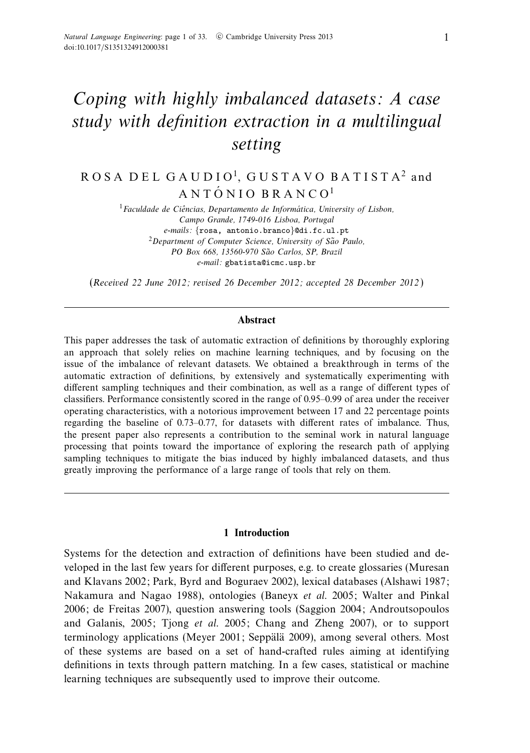# Coping with highly imbalanced datasets: A case study with definition extraction in a multilingual setting

## ROSA DEL GAUDIO1, GUSTAVO BATISTA2 and  $A N T \acute{O} N I O B R A N C O<sup>1</sup>$

 $1$ Faculdade de Ciências, Departamento de Informática, University of Lisbon, Campo Grande, 1749-016 Lisboa, Portugal e-mails: {rosa, antonio.branco}@di.fc.ul.pt  $2$ Department of Computer Science, University of São Paulo, PO Box 668, 13560-970 São Carlos, SP, Brazil e-mail: gbatista@icmc.usp.br

(Received 22 June 2012; revised 26 December 2012; accepted 28 December 2012 )

#### **Abstract**

This paper addresses the task of automatic extraction of definitions by thoroughly exploring an approach that solely relies on machine learning techniques, and by focusing on the issue of the imbalance of relevant datasets. We obtained a breakthrough in terms of the automatic extraction of definitions, by extensively and systematically experimenting with different sampling techniques and their combination, as well as a range of different types of classifiers. Performance consistently scored in the range of 0.95–0.99 of area under the receiver operating characteristics, with a notorious improvement between 17 and 22 percentage points regarding the baseline of 0.73–0.77, for datasets with different rates of imbalance. Thus, the present paper also represents a contribution to the seminal work in natural language processing that points toward the importance of exploring the research path of applying sampling techniques to mitigate the bias induced by highly imbalanced datasets, and thus greatly improving the performance of a large range of tools that rely on them.

#### **1 Introduction**

Systems for the detection and extraction of definitions have been studied and developed in the last few years for different purposes, e.g. to create glossaries (Muresan and Klavans 2002; Park, Byrd and Boguraev 2002), lexical databases (Alshawi 1987; Nakamura and Nagao 1988), ontologies (Baneyx et al. 2005; Walter and Pinkal 2006; de Freitas 2007), question answering tools (Saggion 2004; Androutsopoulos and Galanis, 2005; Tjong et al. 2005; Chang and Zheng 2007), or to support terminology applications (Meyer 2001; Seppälä 2009), among several others. Most of these systems are based on a set of hand-crafted rules aiming at identifying definitions in texts through pattern matching. In a few cases, statistical or machine learning techniques are subsequently used to improve their outcome.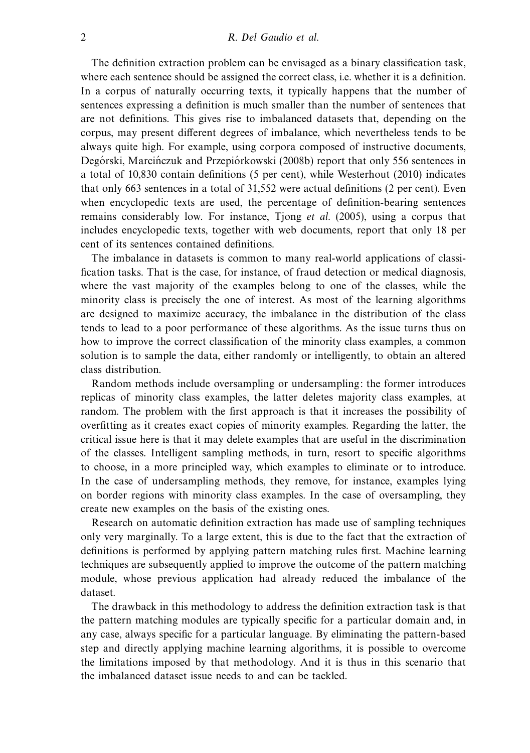The definition extraction problem can be envisaged as a binary classification task, where each sentence should be assigned the correct class, i.e. whether it is a definition. In a corpus of naturally occurring texts, it typically happens that the number of sentences expressing a definition is much smaller than the number of sentences that are not definitions. This gives rise to imbalanced datasets that, depending on the corpus, may present different degrees of imbalance, which nevertheless tends to be always quite high. For example, using corpora composed of instructive documents, Degórski, Marcińczuk and Przepiórkowski (2008b) report that only 556 sentences in a total of 10,830 contain definitions (5 per cent), while Westerhout (2010) indicates that only 663 sentences in a total of 31,552 were actual definitions (2 per cent). Even when encyclopedic texts are used, the percentage of definition-bearing sentences remains considerably low. For instance, Tjong et al. (2005), using a corpus that includes encyclopedic texts, together with web documents, report that only 18 per cent of its sentences contained definitions.

The imbalance in datasets is common to many real-world applications of classification tasks. That is the case, for instance, of fraud detection or medical diagnosis, where the vast majority of the examples belong to one of the classes, while the minority class is precisely the one of interest. As most of the learning algorithms are designed to maximize accuracy, the imbalance in the distribution of the class tends to lead to a poor performance of these algorithms. As the issue turns thus on how to improve the correct classification of the minority class examples, a common solution is to sample the data, either randomly or intelligently, to obtain an altered class distribution.

Random methods include oversampling or undersampling: the former introduces replicas of minority class examples, the latter deletes majority class examples, at random. The problem with the first approach is that it increases the possibility of overfitting as it creates exact copies of minority examples. Regarding the latter, the critical issue here is that it may delete examples that are useful in the discrimination of the classes. Intelligent sampling methods, in turn, resort to specific algorithms to choose, in a more principled way, which examples to eliminate or to introduce. In the case of undersampling methods, they remove, for instance, examples lying on border regions with minority class examples. In the case of oversampling, they create new examples on the basis of the existing ones.

Research on automatic definition extraction has made use of sampling techniques only very marginally. To a large extent, this is due to the fact that the extraction of definitions is performed by applying pattern matching rules first. Machine learning techniques are subsequently applied to improve the outcome of the pattern matching module, whose previous application had already reduced the imbalance of the dataset.

The drawback in this methodology to address the definition extraction task is that the pattern matching modules are typically specific for a particular domain and, in any case, always specific for a particular language. By eliminating the pattern-based step and directly applying machine learning algorithms, it is possible to overcome the limitations imposed by that methodology. And it is thus in this scenario that the imbalanced dataset issue needs to and can be tackled.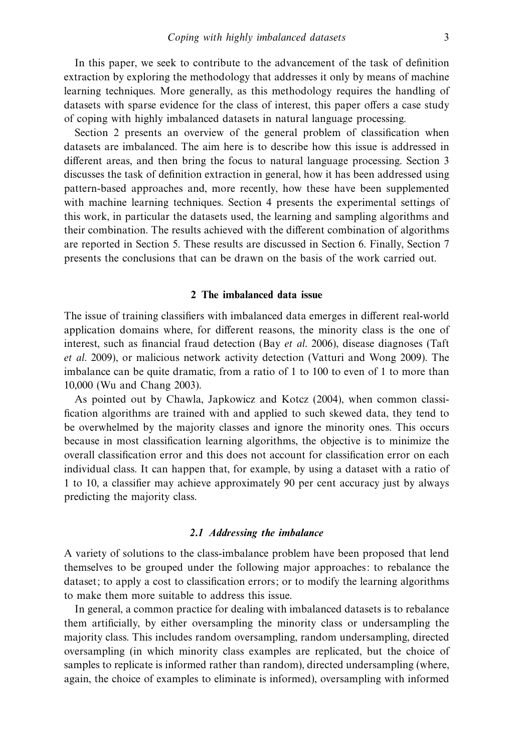In this paper, we seek to contribute to the advancement of the task of definition extraction by exploring the methodology that addresses it only by means of machine learning techniques. More generally, as this methodology requires the handling of datasets with sparse evidence for the class of interest, this paper offers a case study of coping with highly imbalanced datasets in natural language processing.

Section 2 presents an overview of the general problem of classification when datasets are imbalanced. The aim here is to describe how this issue is addressed in different areas, and then bring the focus to natural language processing. Section 3 discusses the task of definition extraction in general, how it has been addressed using pattern-based approaches and, more recently, how these have been supplemented with machine learning techniques. Section 4 presents the experimental settings of this work, in particular the datasets used, the learning and sampling algorithms and their combination. The results achieved with the different combination of algorithms are reported in Section 5. These results are discussed in Section 6. Finally, Section 7 presents the conclusions that can be drawn on the basis of the work carried out.

#### **2 The imbalanced data issue**

The issue of training classifiers with imbalanced data emerges in different real-world application domains where, for different reasons, the minority class is the one of interest, such as financial fraud detection (Bay et al. 2006), disease diagnoses (Taft et al. 2009), or malicious network activity detection (Vatturi and Wong 2009). The imbalance can be quite dramatic, from a ratio of 1 to 100 to even of 1 to more than 10,000 (Wu and Chang 2003).

As pointed out by Chawla, Japkowicz and Kotcz (2004), when common classification algorithms are trained with and applied to such skewed data, they tend to be overwhelmed by the majority classes and ignore the minority ones. This occurs because in most classification learning algorithms, the objective is to minimize the overall classification error and this does not account for classification error on each individual class. It can happen that, for example, by using a dataset with a ratio of 1 to 10, a classifier may achieve approximately 90 per cent accuracy just by always predicting the majority class.

#### *2.1 Addressing the imbalance*

A variety of solutions to the class-imbalance problem have been proposed that lend themselves to be grouped under the following major approaches: to rebalance the dataset; to apply a cost to classification errors; or to modify the learning algorithms to make them more suitable to address this issue.

In general, a common practice for dealing with imbalanced datasets is to rebalance them artificially, by either oversampling the minority class or undersampling the majority class. This includes random oversampling, random undersampling, directed oversampling (in which minority class examples are replicated, but the choice of samples to replicate is informed rather than random), directed undersampling (where, again, the choice of examples to eliminate is informed), oversampling with informed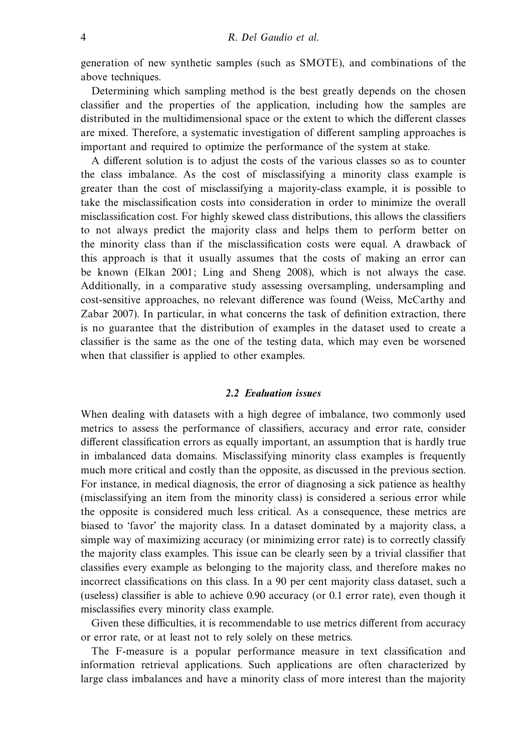generation of new synthetic samples (such as SMOTE), and combinations of the above techniques.

Determining which sampling method is the best greatly depends on the chosen classifier and the properties of the application, including how the samples are distributed in the multidimensional space or the extent to which the different classes are mixed. Therefore, a systematic investigation of different sampling approaches is important and required to optimize the performance of the system at stake.

A different solution is to adjust the costs of the various classes so as to counter the class imbalance. As the cost of misclassifying a minority class example is greater than the cost of misclassifying a majority-class example, it is possible to take the misclassification costs into consideration in order to minimize the overall misclassification cost. For highly skewed class distributions, this allows the classifiers to not always predict the majority class and helps them to perform better on the minority class than if the misclassification costs were equal. A drawback of this approach is that it usually assumes that the costs of making an error can be known (Elkan 2001; Ling and Sheng 2008), which is not always the case. Additionally, in a comparative study assessing oversampling, undersampling and cost-sensitive approaches, no relevant difference was found (Weiss, McCarthy and Zabar 2007). In particular, in what concerns the task of definition extraction, there is no guarantee that the distribution of examples in the dataset used to create a classifier is the same as the one of the testing data, which may even be worsened when that classifier is applied to other examples.

### *2.2 Evaluation issues*

When dealing with datasets with a high degree of imbalance, two commonly used metrics to assess the performance of classifiers, accuracy and error rate, consider different classification errors as equally important, an assumption that is hardly true in imbalanced data domains. Misclassifying minority class examples is frequently much more critical and costly than the opposite, as discussed in the previous section. For instance, in medical diagnosis, the error of diagnosing a sick patience as healthy (misclassifying an item from the minority class) is considered a serious error while the opposite is considered much less critical. As a consequence, these metrics are biased to 'favor' the majority class. In a dataset dominated by a majority class, a simple way of maximizing accuracy (or minimizing error rate) is to correctly classify the majority class examples. This issue can be clearly seen by a trivial classifier that classifies every example as belonging to the majority class, and therefore makes no incorrect classifications on this class. In a 90 per cent majority class dataset, such a (useless) classifier is able to achieve 0.90 accuracy (or 0.1 error rate), even though it misclassifies every minority class example.

Given these difficulties, it is recommendable to use metrics different from accuracy or error rate, or at least not to rely solely on these metrics.

The F-measure is a popular performance measure in text classification and information retrieval applications. Such applications are often characterized by large class imbalances and have a minority class of more interest than the majority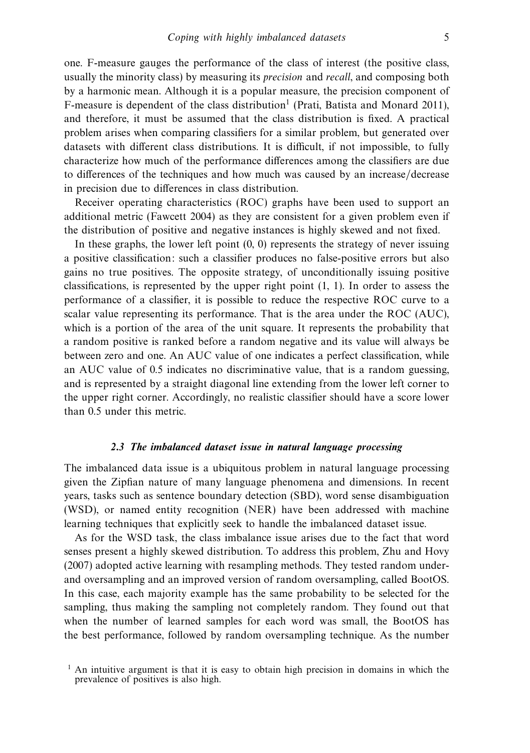one. F-measure gauges the performance of the class of interest (the positive class, usually the minority class) by measuring its precision and recall, and composing both by a harmonic mean. Although it is a popular measure, the precision component of F-measure is dependent of the class distribution<sup>1</sup> (Prati, Batista and Monard 2011), and therefore, it must be assumed that the class distribution is fixed. A practical problem arises when comparing classifiers for a similar problem, but generated over datasets with different class distributions. It is difficult, if not impossible, to fully characterize how much of the performance differences among the classifiers are due to differences of the techniques and how much was caused by an increase/decrease in precision due to differences in class distribution.

Receiver operating characteristics (ROC) graphs have been used to support an additional metric (Fawcett 2004) as they are consistent for a given problem even if the distribution of positive and negative instances is highly skewed and not fixed.

In these graphs, the lower left point  $(0, 0)$  represents the strategy of never issuing a positive classification: such a classifier produces no false-positive errors but also gains no true positives. The opposite strategy, of unconditionally issuing positive classifications, is represented by the upper right point (1, 1). In order to assess the performance of a classifier, it is possible to reduce the respective ROC curve to a scalar value representing its performance. That is the area under the ROC (AUC), which is a portion of the area of the unit square. It represents the probability that a random positive is ranked before a random negative and its value will always be between zero and one. An AUC value of one indicates a perfect classification, while an AUC value of 0.5 indicates no discriminative value, that is a random guessing, and is represented by a straight diagonal line extending from the lower left corner to the upper right corner. Accordingly, no realistic classifier should have a score lower than 0.5 under this metric.

#### *2.3 The imbalanced dataset issue in natural language processing*

The imbalanced data issue is a ubiquitous problem in natural language processing given the Zipfian nature of many language phenomena and dimensions. In recent years, tasks such as sentence boundary detection (SBD), word sense disambiguation (WSD), or named entity recognition (NER) have been addressed with machine learning techniques that explicitly seek to handle the imbalanced dataset issue.

As for the WSD task, the class imbalance issue arises due to the fact that word senses present a highly skewed distribution. To address this problem, Zhu and Hovy (2007) adopted active learning with resampling methods. They tested random underand oversampling and an improved version of random oversampling, called BootOS. In this case, each majority example has the same probability to be selected for the sampling, thus making the sampling not completely random. They found out that when the number of learned samples for each word was small, the BootOS has the best performance, followed by random oversampling technique. As the number

<sup>&</sup>lt;sup>1</sup> An intuitive argument is that it is easy to obtain high precision in domains in which the prevalence of positives is also high.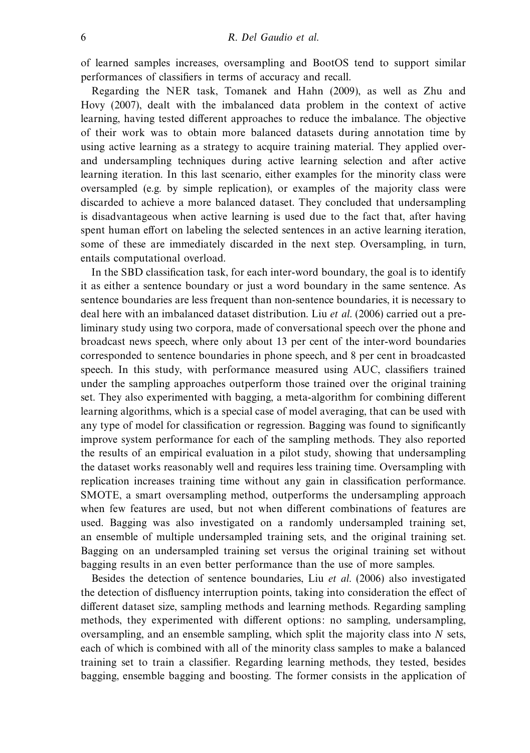of learned samples increases, oversampling and BootOS tend to support similar performances of classifiers in terms of accuracy and recall.

Regarding the NER task, Tomanek and Hahn (2009), as well as Zhu and Hovy (2007), dealt with the imbalanced data problem in the context of active learning, having tested different approaches to reduce the imbalance. The objective of their work was to obtain more balanced datasets during annotation time by using active learning as a strategy to acquire training material. They applied overand undersampling techniques during active learning selection and after active learning iteration. In this last scenario, either examples for the minority class were oversampled (e.g. by simple replication), or examples of the majority class were discarded to achieve a more balanced dataset. They concluded that undersampling is disadvantageous when active learning is used due to the fact that, after having spent human effort on labeling the selected sentences in an active learning iteration, some of these are immediately discarded in the next step. Oversampling, in turn, entails computational overload.

In the SBD classification task, for each inter-word boundary, the goal is to identify it as either a sentence boundary or just a word boundary in the same sentence. As sentence boundaries are less frequent than non-sentence boundaries, it is necessary to deal here with an imbalanced dataset distribution. Liu et al. (2006) carried out a preliminary study using two corpora, made of conversational speech over the phone and broadcast news speech, where only about 13 per cent of the inter-word boundaries corresponded to sentence boundaries in phone speech, and 8 per cent in broadcasted speech. In this study, with performance measured using AUC, classifiers trained under the sampling approaches outperform those trained over the original training set. They also experimented with bagging, a meta-algorithm for combining different learning algorithms, which is a special case of model averaging, that can be used with any type of model for classification or regression. Bagging was found to significantly improve system performance for each of the sampling methods. They also reported the results of an empirical evaluation in a pilot study, showing that undersampling the dataset works reasonably well and requires less training time. Oversampling with replication increases training time without any gain in classification performance. SMOTE, a smart oversampling method, outperforms the undersampling approach when few features are used, but not when different combinations of features are used. Bagging was also investigated on a randomly undersampled training set, an ensemble of multiple undersampled training sets, and the original training set. Bagging on an undersampled training set versus the original training set without bagging results in an even better performance than the use of more samples.

Besides the detection of sentence boundaries, Liu et al. (2006) also investigated the detection of disfluency interruption points, taking into consideration the effect of different dataset size, sampling methods and learning methods. Regarding sampling methods, they experimented with different options: no sampling, undersampling, oversampling, and an ensemble sampling, which split the majority class into *N* sets, each of which is combined with all of the minority class samples to make a balanced training set to train a classifier. Regarding learning methods, they tested, besides bagging, ensemble bagging and boosting. The former consists in the application of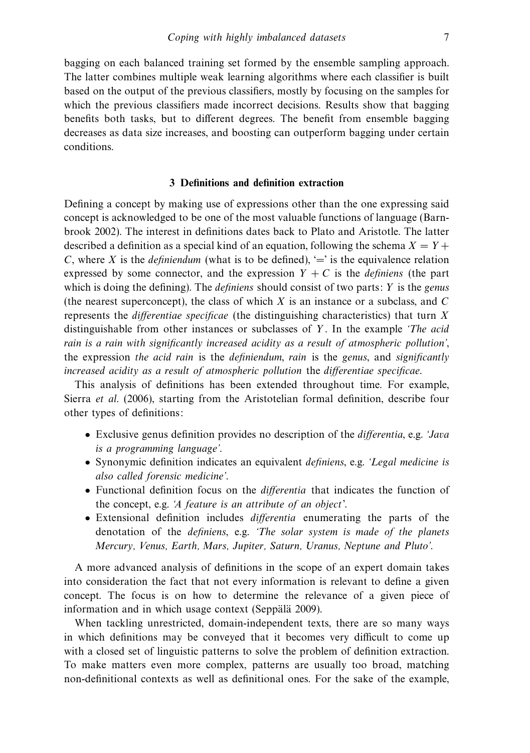bagging on each balanced training set formed by the ensemble sampling approach. The latter combines multiple weak learning algorithms where each classifier is built based on the output of the previous classifiers, mostly by focusing on the samples for which the previous classifiers made incorrect decisions. Results show that bagging benefits both tasks, but to different degrees. The benefit from ensemble bagging decreases as data size increases, and boosting can outperform bagging under certain conditions.

#### **3 Definitions and definition extraction**

Defining a concept by making use of expressions other than the one expressing said concept is acknowledged to be one of the most valuable functions of language (Barnbrook 2002). The interest in definitions dates back to Plato and Aristotle. The latter described a definition as a special kind of an equation, following the schema  $X = Y +$ *C*, where *X* is the *definiendum* (what is to be defined),  $\equiv$  is the equivalence relation expressed by some connector, and the expression  $Y + C$  is the *definiens* (the part which is doing the defining). The *definiens* should consist of two parts: *Y* is the *genus* (the nearest superconcept), the class of which *X* is an instance or a subclass, and *C* represents the differentiae specificae (the distinguishing characteristics) that turn *X* distinguishable from other instances or subclasses of *Y* . In the example 'The acid rain is a rain with significantly increased acidity as a result of atmospheric pollution', the expression the acid rain is the definiendum, rain is the genus, and significantly increased acidity as a result of atmospheric pollution the differentiae specificae.

This analysis of definitions has been extended throughout time. For example, Sierra et al. (2006), starting from the Aristotelian formal definition, describe four other types of definitions:

- Exclusive genus definition provides no description of the differentia, e.g. 'Java is a programming language'.
- Synonymic definition indicates an equivalent *definiens*, e.g. *Legal medicine is* also called forensic medicine'.
- Functional definition focus on the differentia that indicates the function of the concept, e.g. 'A feature is an attribute of an object'.
- Extensional definition includes differentia enumerating the parts of the denotation of the definiens, e.g. 'The solar system is made of the planets Mercury, Venus, Earth, Mars, Jupiter, Saturn, Uranus, Neptune and Pluto'.

A more advanced analysis of definitions in the scope of an expert domain takes into consideration the fact that not every information is relevant to define a given concept. The focus is on how to determine the relevance of a given piece of information and in which usage context (Seppälä 2009).

When tackling unrestricted, domain-independent texts, there are so many ways in which definitions may be conveyed that it becomes very difficult to come up with a closed set of linguistic patterns to solve the problem of definition extraction. To make matters even more complex, patterns are usually too broad, matching non-definitional contexts as well as definitional ones. For the sake of the example,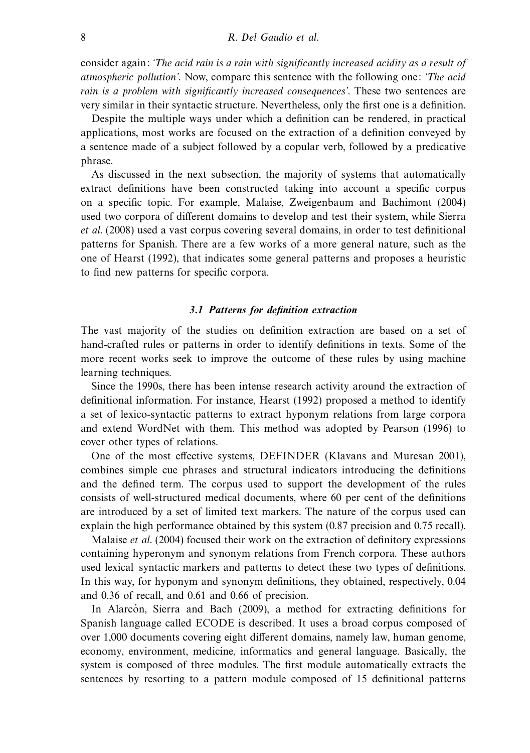consider again: 'The acid rain is a rain with significantly increased acidity as a result of atmospheric pollution'. Now, compare this sentence with the following one: 'The acid rain is a problem with significantly increased consequences'. These two sentences are very similar in their syntactic structure. Nevertheless, only the first one is a definition.

Despite the multiple ways under which a definition can be rendered, in practical applications, most works are focused on the extraction of a definition conveyed by a sentence made of a subject followed by a copular verb, followed by a predicative phrase.

As discussed in the next subsection, the majority of systems that automatically extract definitions have been constructed taking into account a specific corpus on a specific topic. For example, Malaise, Zweigenbaum and Bachimont (2004) used two corpora of different domains to develop and test their system, while Sierra et al. (2008) used a vast corpus covering several domains, in order to test definitional patterns for Spanish. There are a few works of a more general nature, such as the one of Hearst (1992), that indicates some general patterns and proposes a heuristic to find new patterns for specific corpora.

#### *3.1 Patterns for definition extraction*

The vast majority of the studies on definition extraction are based on a set of hand-crafted rules or patterns in order to identify definitions in texts. Some of the more recent works seek to improve the outcome of these rules by using machine learning techniques.

Since the 1990s, there has been intense research activity around the extraction of definitional information. For instance, Hearst (1992) proposed a method to identify a set of lexico-syntactic patterns to extract hyponym relations from large corpora and extend WordNet with them. This method was adopted by Pearson (1996) to cover other types of relations.

One of the most effective systems, DEFINDER (Klavans and Muresan 2001), combines simple cue phrases and structural indicators introducing the definitions and the defined term. The corpus used to support the development of the rules consists of well-structured medical documents, where 60 per cent of the definitions are introduced by a set of limited text markers. The nature of the corpus used can explain the high performance obtained by this system (0.87 precision and 0.75 recall).

Malaise et al. (2004) focused their work on the extraction of definitory expressions containing hyperonym and synonym relations from French corpora. These authors used lexical–syntactic markers and patterns to detect these two types of definitions. In this way, for hyponym and synonym definitions, they obtained, respectively, 0.04 and 0.36 of recall, and 0.61 and 0.66 of precision.

In Alarcon, Sierra and Bach  $(2009)$ , a method for extracting definitions for Spanish language called ECODE is described. It uses a broad corpus composed of over 1,000 documents covering eight different domains, namely law, human genome, economy, environment, medicine, informatics and general language. Basically, the system is composed of three modules. The first module automatically extracts the sentences by resorting to a pattern module composed of 15 definitional patterns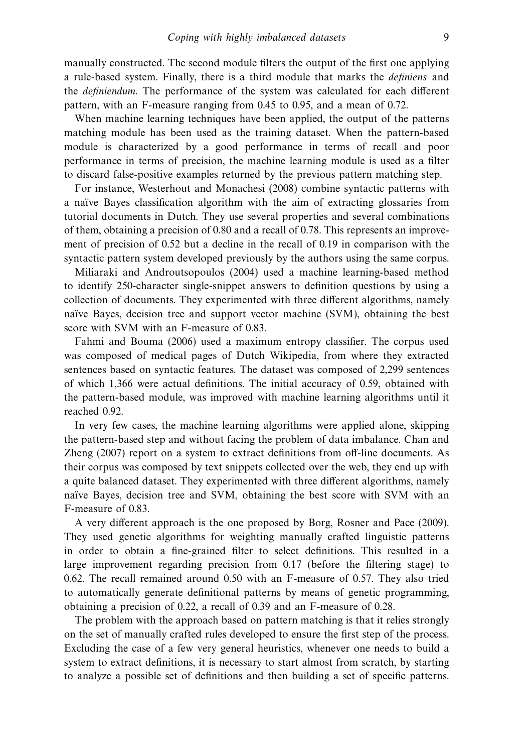manually constructed. The second module filters the output of the first one applying a rule-based system. Finally, there is a third module that marks the definiens and the definiendum. The performance of the system was calculated for each different pattern, with an F-measure ranging from 0.45 to 0.95, and a mean of 0.72.

When machine learning techniques have been applied, the output of the patterns matching module has been used as the training dataset. When the pattern-based module is characterized by a good performance in terms of recall and poor performance in terms of precision, the machine learning module is used as a filter to discard false-positive examples returned by the previous pattern matching step.

For instance, Westerhout and Monachesi (2008) combine syntactic patterns with a naïve Bayes classification algorithm with the aim of extracting glossaries from tutorial documents in Dutch. They use several properties and several combinations of them, obtaining a precision of 0.80 and a recall of 0.78. This represents an improvement of precision of 0.52 but a decline in the recall of 0.19 in comparison with the syntactic pattern system developed previously by the authors using the same corpus.

Miliaraki and Androutsopoulos (2004) used a machine learning-based method to identify 250-character single-snippet answers to definition questions by using a collection of documents. They experimented with three different algorithms, namely naïve Bayes, decision tree and support vector machine (SVM), obtaining the best score with SVM with an F-measure of 0.83.

Fahmi and Bouma (2006) used a maximum entropy classifier. The corpus used was composed of medical pages of Dutch Wikipedia, from where they extracted sentences based on syntactic features. The dataset was composed of 2,299 sentences of which 1,366 were actual definitions. The initial accuracy of 0.59, obtained with the pattern-based module, was improved with machine learning algorithms until it reached 0.92.

In very few cases, the machine learning algorithms were applied alone, skipping the pattern-based step and without facing the problem of data imbalance. Chan and Zheng (2007) report on a system to extract definitions from off-line documents. As their corpus was composed by text snippets collected over the web, they end up with a quite balanced dataset. They experimented with three different algorithms, namely naïve Bayes, decision tree and SVM, obtaining the best score with SVM with an F-measure of 0.83.

A very different approach is the one proposed by Borg, Rosner and Pace (2009). They used genetic algorithms for weighting manually crafted linguistic patterns in order to obtain a fine-grained filter to select definitions. This resulted in a large improvement regarding precision from 0.17 (before the filtering stage) to 0.62. The recall remained around 0.50 with an F-measure of 0.57. They also tried to automatically generate definitional patterns by means of genetic programming, obtaining a precision of 0.22, a recall of 0.39 and an F-measure of 0.28.

The problem with the approach based on pattern matching is that it relies strongly on the set of manually crafted rules developed to ensure the first step of the process. Excluding the case of a few very general heuristics, whenever one needs to build a system to extract definitions, it is necessary to start almost from scratch, by starting to analyze a possible set of definitions and then building a set of specific patterns.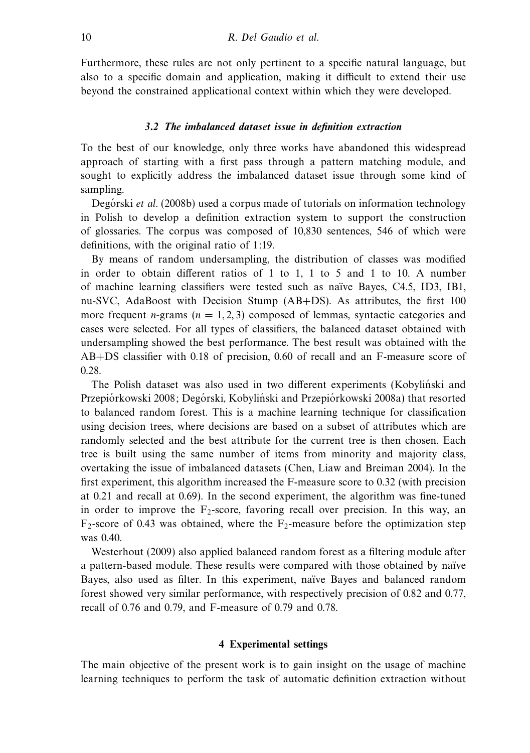Furthermore, these rules are not only pertinent to a specific natural language, but also to a specific domain and application, making it difficult to extend their use beyond the constrained applicational context within which they were developed.

## *3.2 The imbalanced dataset issue in definition extraction*

To the best of our knowledge, only three works have abandoned this widespread approach of starting with a first pass through a pattern matching module, and sought to explicitly address the imbalanced dataset issue through some kind of sampling.

Degorski et al. (2008b) used a corpus made of tutorials on information technology in Polish to develop a definition extraction system to support the construction of glossaries. The corpus was composed of 10,830 sentences, 546 of which were definitions, with the original ratio of 1:19.

By means of random undersampling, the distribution of classes was modified in order to obtain different ratios of 1 to 1, 1 to 5 and 1 to 10. A number of machine learning classifiers were tested such as naïve Bayes, C4.5, ID3, IB1, nu-SVC, AdaBoost with Decision Stump (AB+DS). As attributes, the first 100 more frequent *n*-grams ( $n = 1, 2, 3$ ) composed of lemmas, syntactic categories and cases were selected. For all types of classifiers, the balanced dataset obtained with undersampling showed the best performance. The best result was obtained with the AB+DS classifier with 0.18 of precision, 0.60 of recall and an F-measure score of 0.28.

The Polish dataset was also used in two different experiments (Kobylinski and Przepiórkowski 2008; Degórski, Kobyliński and Przepiórkowski 2008a) that resorted to balanced random forest. This is a machine learning technique for classification using decision trees, where decisions are based on a subset of attributes which are randomly selected and the best attribute for the current tree is then chosen. Each tree is built using the same number of items from minority and majority class, overtaking the issue of imbalanced datasets (Chen, Liaw and Breiman 2004). In the first experiment, this algorithm increased the F-measure score to 0.32 (with precision at 0.21 and recall at 0.69). In the second experiment, the algorithm was fine-tuned in order to improve the  $F_2$ -score, favoring recall over precision. In this way, an  $F_2$ -score of 0.43 was obtained, where the  $F_2$ -measure before the optimization step was  $0.40$ .

Westerhout (2009) also applied balanced random forest as a filtering module after a pattern-based module. These results were compared with those obtained by naïve Bayes, also used as filter. In this experiment, naïve Bayes and balanced random forest showed very similar performance, with respectively precision of 0.82 and 0.77, recall of 0.76 and 0.79, and F-measure of 0.79 and 0.78.

#### **4 Experimental settings**

The main objective of the present work is to gain insight on the usage of machine learning techniques to perform the task of automatic definition extraction without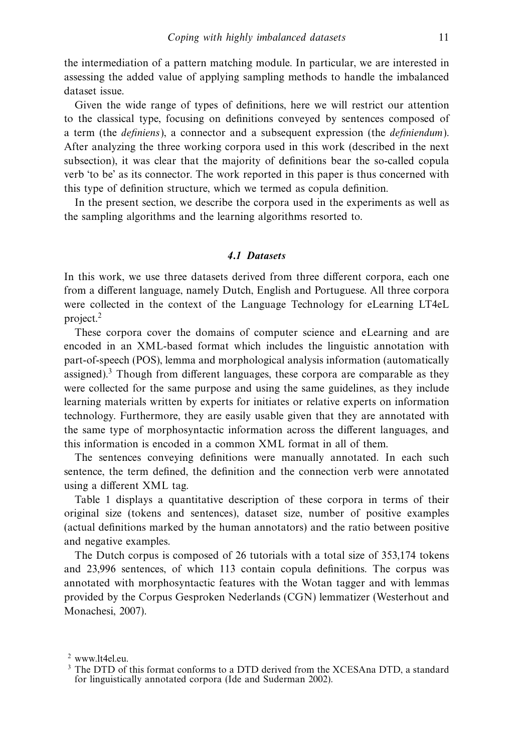the intermediation of a pattern matching module. In particular, we are interested in assessing the added value of applying sampling methods to handle the imbalanced dataset issue.

Given the wide range of types of definitions, here we will restrict our attention to the classical type, focusing on definitions conveyed by sentences composed of a term (the definiens), a connector and a subsequent expression (the definiendum). After analyzing the three working corpora used in this work (described in the next subsection), it was clear that the majority of definitions bear the so-called copula verb 'to be' as its connector. The work reported in this paper is thus concerned with this type of definition structure, which we termed as copula definition.

In the present section, we describe the corpora used in the experiments as well as the sampling algorithms and the learning algorithms resorted to.

#### *4.1 Datasets*

In this work, we use three datasets derived from three different corpora, each one from a different language, namely Dutch, English and Portuguese. All three corpora were collected in the context of the Language Technology for eLearning LT4eL project.2

These corpora cover the domains of computer science and eLearning and are encoded in an XML-based format which includes the linguistic annotation with part-of-speech (POS), lemma and morphological analysis information (automatically assigned). $3$  Though from different languages, these corpora are comparable as they were collected for the same purpose and using the same guidelines, as they include learning materials written by experts for initiates or relative experts on information technology. Furthermore, they are easily usable given that they are annotated with the same type of morphosyntactic information across the different languages, and this information is encoded in a common XML format in all of them.

The sentences conveying definitions were manually annotated. In each such sentence, the term defined, the definition and the connection verb were annotated using a different XML tag.

Table 1 displays a quantitative description of these corpora in terms of their original size (tokens and sentences), dataset size, number of positive examples (actual definitions marked by the human annotators) and the ratio between positive and negative examples.

The Dutch corpus is composed of 26 tutorials with a total size of 353,174 tokens and 23,996 sentences, of which 113 contain copula definitions. The corpus was annotated with morphosyntactic features with the Wotan tagger and with lemmas provided by the Corpus Gesproken Nederlands (CGN) lemmatizer (Westerhout and Monachesi, 2007).

<sup>2</sup> www.lt4el.eu.

<sup>&</sup>lt;sup>3</sup> The DTD of this format conforms to a DTD derived from the XCESAna DTD, a standard for linguistically annotated corpora (Ide and Suderman 2002).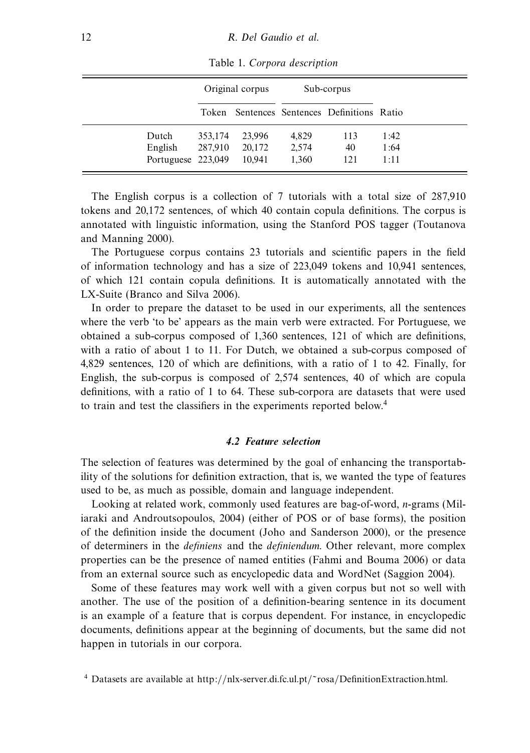|                    |         | Original corpus |       | Sub-corpus                                  |      |
|--------------------|---------|-----------------|-------|---------------------------------------------|------|
|                    |         |                 |       | Token Sentences Sentences Definitions Ratio |      |
| Dutch              | 353,174 | 23,996          | 4,829 | 113                                         | 1:42 |
| English            | 287,910 | 20,172          | 2,574 | 40                                          | 1:64 |
| Portuguese 223,049 |         | 10.941          | 1.360 | 121                                         | 1:11 |

Table 1. Corpora description

The English corpus is a collection of 7 tutorials with a total size of 287,910 tokens and 20,172 sentences, of which 40 contain copula definitions. The corpus is annotated with linguistic information, using the Stanford POS tagger (Toutanova and Manning 2000).

The Portuguese corpus contains 23 tutorials and scientific papers in the field of information technology and has a size of 223,049 tokens and 10,941 sentences, of which 121 contain copula definitions. It is automatically annotated with the LX-Suite (Branco and Silva 2006).

In order to prepare the dataset to be used in our experiments, all the sentences where the verb 'to be' appears as the main verb were extracted. For Portuguese, we obtained a sub-corpus composed of 1,360 sentences, 121 of which are definitions, with a ratio of about 1 to 11. For Dutch, we obtained a sub-corpus composed of 4,829 sentences, 120 of which are definitions, with a ratio of 1 to 42. Finally, for English, the sub-corpus is composed of 2,574 sentences, 40 of which are copula definitions, with a ratio of 1 to 64. These sub-corpora are datasets that were used to train and test the classifiers in the experiments reported below.4

#### *4.2 Feature selection*

The selection of features was determined by the goal of enhancing the transportability of the solutions for definition extraction, that is, we wanted the type of features used to be, as much as possible, domain and language independent.

Looking at related work, commonly used features are bag-of-word, *n*-grams (Miliaraki and Androutsopoulos, 2004) (either of POS or of base forms), the position of the definition inside the document (Joho and Sanderson 2000), or the presence of determiners in the definiens and the definiendum. Other relevant, more complex properties can be the presence of named entities (Fahmi and Bouma 2006) or data from an external source such as encyclopedic data and WordNet (Saggion 2004).

Some of these features may work well with a given corpus but not so well with another. The use of the position of a definition-bearing sentence in its document is an example of a feature that is corpus dependent. For instance, in encyclopedic documents, definitions appear at the beginning of documents, but the same did not happen in tutorials in our corpora.

<sup>4</sup> Datasets are available at http://nlx-server.di.fc.ul.pt/˜rosa/DefinitionExtraction.html.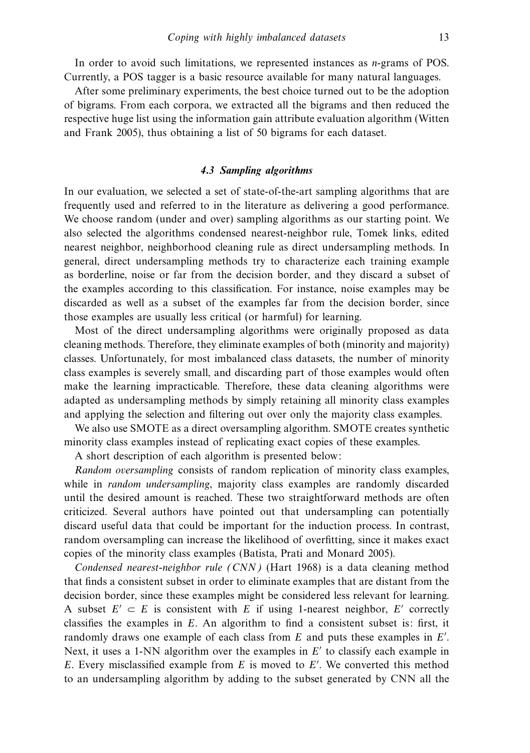In order to avoid such limitations, we represented instances as *n*-grams of POS. Currently, a POS tagger is a basic resource available for many natural languages.

After some preliminary experiments, the best choice turned out to be the adoption of bigrams. From each corpora, we extracted all the bigrams and then reduced the respective huge list using the information gain attribute evaluation algorithm (Witten and Frank 2005), thus obtaining a list of 50 bigrams for each dataset.

#### *4.3 Sampling algorithms*

In our evaluation, we selected a set of state-of-the-art sampling algorithms that are frequently used and referred to in the literature as delivering a good performance. We choose random (under and over) sampling algorithms as our starting point. We also selected the algorithms condensed nearest-neighbor rule, Tomek links, edited nearest neighbor, neighborhood cleaning rule as direct undersampling methods. In general, direct undersampling methods try to characterize each training example as borderline, noise or far from the decision border, and they discard a subset of the examples according to this classification. For instance, noise examples may be discarded as well as a subset of the examples far from the decision border, since those examples are usually less critical (or harmful) for learning.

Most of the direct undersampling algorithms were originally proposed as data cleaning methods. Therefore, they eliminate examples of both (minority and majority) classes. Unfortunately, for most imbalanced class datasets, the number of minority class examples is severely small, and discarding part of those examples would often make the learning impracticable. Therefore, these data cleaning algorithms were adapted as undersampling methods by simply retaining all minority class examples and applying the selection and filtering out over only the majority class examples.

We also use SMOTE as a direct oversampling algorithm. SMOTE creates synthetic minority class examples instead of replicating exact copies of these examples.

A short description of each algorithm is presented below:

Random oversampling consists of random replication of minority class examples, while in *random undersampling*, majority class examples are randomly discarded until the desired amount is reached. These two straightforward methods are often criticized. Several authors have pointed out that undersampling can potentially discard useful data that could be important for the induction process. In contrast, random oversampling can increase the likelihood of overfitting, since it makes exact copies of the minority class examples (Batista, Prati and Monard 2005).

Condensed nearest-neighbor rule (CNN) (Hart 1968) is a data cleaning method that finds a consistent subset in order to eliminate examples that are distant from the decision border, since these examples might be considered less relevant for learning. A subset  $E' \subset E$  is consistent with *E* if using 1-nearest neighbor, *E'* correctly classifies the examples in *E*. An algorithm to find a consistent subset is: first, it randomly draws one example of each class from *E* and puts these examples in *E* . Next, it uses a 1-NN algorithm over the examples in *E'* to classify each example in *E*. Every misclassified example from *E* is moved to *E* . We converted this method to an undersampling algorithm by adding to the subset generated by CNN all the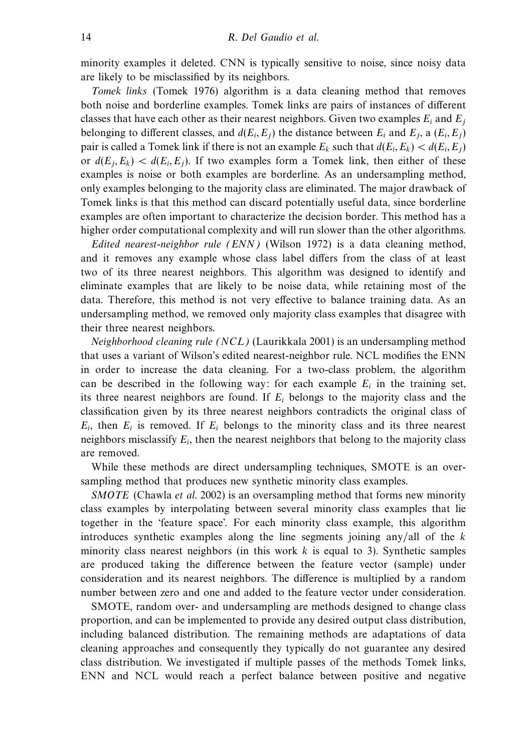minority examples it deleted. CNN is typically sensitive to noise, since noisy data are likely to be misclassified by its neighbors.

Tomek links (Tomek 1976) algorithm is a data cleaning method that removes both noise and borderline examples. Tomek links are pairs of instances of different classes that have each other as their nearest neighbors. Given two examples  $E_i$  and  $E_j$ belonging to different classes, and  $d(E_i, E_j)$  the distance between  $E_i$  and  $E_j$ , a  $(E_i, E_j)$ pair is called a Tomek link if there is not an example  $E_k$  such that  $d(E_i, E_k) < d(E_i, E_j)$ or  $d(E_i, E_k) < d(E_i, E_j)$ . If two examples form a Tomek link, then either of these examples is noise or both examples are borderline. As an undersampling method, only examples belonging to the majority class are eliminated. The major drawback of Tomek links is that this method can discard potentially useful data, since borderline examples are often important to characterize the decision border. This method has a higher order computational complexity and will run slower than the other algorithms.

Edited nearest-neighbor rule (ENN) (Wilson 1972) is a data cleaning method, and it removes any example whose class label differs from the class of at least two of its three nearest neighbors. This algorithm was designed to identify and eliminate examples that are likely to be noise data, while retaining most of the data. Therefore, this method is not very effective to balance training data. As an undersampling method, we removed only majority class examples that disagree with their three nearest neighbors.

Neighborhood cleaning rule (NCL) (Laurikkala 2001) is an undersampling method that uses a variant of Wilson's edited nearest-neighbor rule. NCL modifies the ENN in order to increase the data cleaning. For a two-class problem, the algorithm can be described in the following way: for each example  $E_i$  in the training set, its three nearest neighbors are found. If  $E_i$  belongs to the majority class and the classification given by its three nearest neighbors contradicts the original class of  $E_i$ , then  $E_i$  is removed. If  $E_i$  belongs to the minority class and its three nearest neighbors misclassify  $E_i$ , then the nearest neighbors that belong to the majority class are removed.

While these methods are direct undersampling techniques, SMOTE is an oversampling method that produces new synthetic minority class examples.

SMOTE (Chawla et al. 2002) is an oversampling method that forms new minority class examples by interpolating between several minority class examples that lie together in the 'feature space'. For each minority class example, this algorithm introduces synthetic examples along the line segments joining any/all of the *k* minority class nearest neighbors (in this work  $k$  is equal to 3). Synthetic samples are produced taking the difference between the feature vector (sample) under consideration and its nearest neighbors. The difference is multiplied by a random number between zero and one and added to the feature vector under consideration.

SMOTE, random over- and undersampling are methods designed to change class proportion, and can be implemented to provide any desired output class distribution, including balanced distribution. The remaining methods are adaptations of data cleaning approaches and consequently they typically do not guarantee any desired class distribution. We investigated if multiple passes of the methods Tomek links, ENN and NCL would reach a perfect balance between positive and negative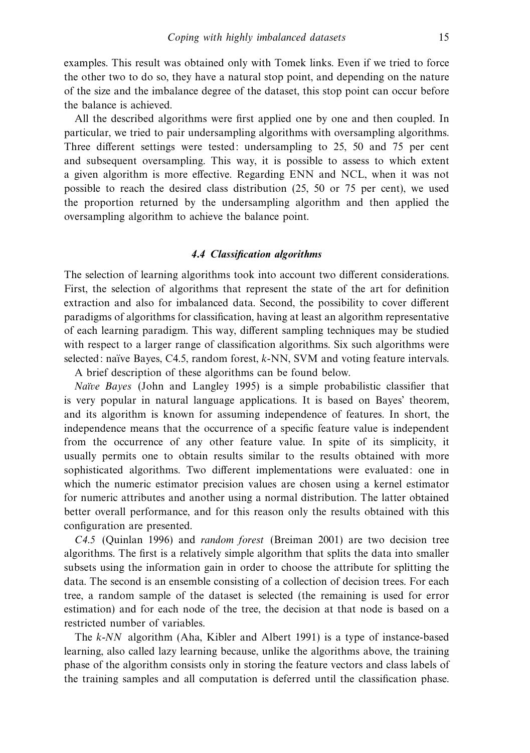examples. This result was obtained only with Tomek links. Even if we tried to force the other two to do so, they have a natural stop point, and depending on the nature of the size and the imbalance degree of the dataset, this stop point can occur before the balance is achieved.

All the described algorithms were first applied one by one and then coupled. In particular, we tried to pair undersampling algorithms with oversampling algorithms. Three different settings were tested: undersampling to 25, 50 and 75 per cent and subsequent oversampling. This way, it is possible to assess to which extent a given algorithm is more effective. Regarding ENN and NCL, when it was not possible to reach the desired class distribution (25, 50 or 75 per cent), we used the proportion returned by the undersampling algorithm and then applied the oversampling algorithm to achieve the balance point.

#### *4.4 Classification algorithms*

The selection of learning algorithms took into account two different considerations. First, the selection of algorithms that represent the state of the art for definition extraction and also for imbalanced data. Second, the possibility to cover different paradigms of algorithms for classification, having at least an algorithm representative of each learning paradigm. This way, different sampling techniques may be studied with respect to a larger range of classification algorithms. Six such algorithms were selected: naïve Bayes, C4.5, random forest, *k*-NN, SVM and voting feature intervals. A brief description of these algorithms can be found below.

Naïve Bayes (John and Langley 1995) is a simple probabilistic classifier that is very popular in natural language applications. It is based on Bayes' theorem, and its algorithm is known for assuming independence of features. In short, the independence means that the occurrence of a specific feature value is independent from the occurrence of any other feature value. In spite of its simplicity, it usually permits one to obtain results similar to the results obtained with more sophisticated algorithms. Two different implementations were evaluated: one in which the numeric estimator precision values are chosen using a kernel estimator for numeric attributes and another using a normal distribution. The latter obtained better overall performance, and for this reason only the results obtained with this configuration are presented.

C4.5 (Quinlan 1996) and random forest (Breiman 2001) are two decision tree algorithms. The first is a relatively simple algorithm that splits the data into smaller subsets using the information gain in order to choose the attribute for splitting the data. The second is an ensemble consisting of a collection of decision trees. For each tree, a random sample of the dataset is selected (the remaining is used for error estimation) and for each node of the tree, the decision at that node is based on a restricted number of variables.

The *k*-NN algorithm (Aha, Kibler and Albert 1991) is a type of instance-based learning, also called lazy learning because, unlike the algorithms above, the training phase of the algorithm consists only in storing the feature vectors and class labels of the training samples and all computation is deferred until the classification phase.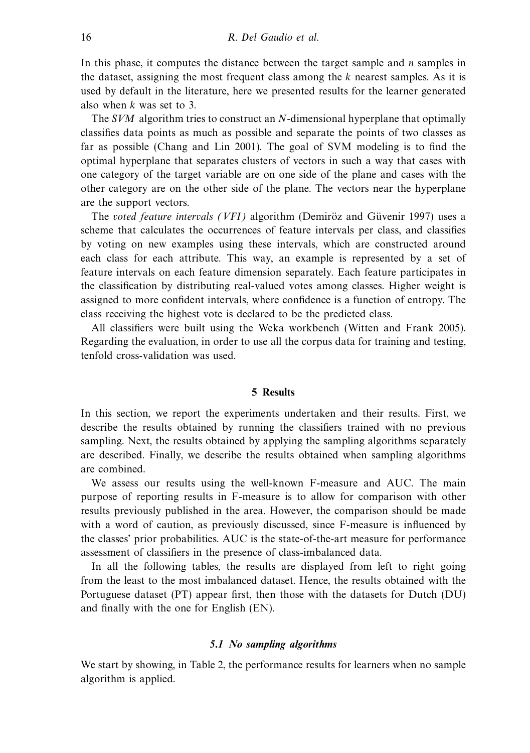In this phase, it computes the distance between the target sample and *n* samples in the dataset, assigning the most frequent class among the *k* nearest samples. As it is used by default in the literature, here we presented results for the learner generated also when *k* was set to 3.

The SVM algorithm tries to construct an *N*-dimensional hyperplane that optimally classifies data points as much as possible and separate the points of two classes as far as possible (Chang and Lin 2001). The goal of SVM modeling is to find the optimal hyperplane that separates clusters of vectors in such a way that cases with one category of the target variable are on one side of the plane and cases with the other category are on the other side of the plane. The vectors near the hyperplane are the support vectors.

The voted feature intervals (VFI) algorithm (Demiroz and Güvenir 1997) uses a scheme that calculates the occurrences of feature intervals per class, and classifies by voting on new examples using these intervals, which are constructed around each class for each attribute. This way, an example is represented by a set of feature intervals on each feature dimension separately. Each feature participates in the classification by distributing real-valued votes among classes. Higher weight is assigned to more confident intervals, where confidence is a function of entropy. The class receiving the highest vote is declared to be the predicted class.

All classifiers were built using the Weka workbench (Witten and Frank 2005). Regarding the evaluation, in order to use all the corpus data for training and testing, tenfold cross-validation was used.

#### **5 Results**

In this section, we report the experiments undertaken and their results. First, we describe the results obtained by running the classifiers trained with no previous sampling. Next, the results obtained by applying the sampling algorithms separately are described. Finally, we describe the results obtained when sampling algorithms are combined.

We assess our results using the well-known F-measure and AUC. The main purpose of reporting results in F-measure is to allow for comparison with other results previously published in the area. However, the comparison should be made with a word of caution, as previously discussed, since F-measure is influenced by the classes' prior probabilities. AUC is the state-of-the-art measure for performance assessment of classifiers in the presence of class-imbalanced data.

In all the following tables, the results are displayed from left to right going from the least to the most imbalanced dataset. Hence, the results obtained with the Portuguese dataset (PT) appear first, then those with the datasets for Dutch (DU) and finally with the one for English (EN).

#### *5.1 No sampling algorithms*

We start by showing, in Table 2, the performance results for learners when no sample algorithm is applied.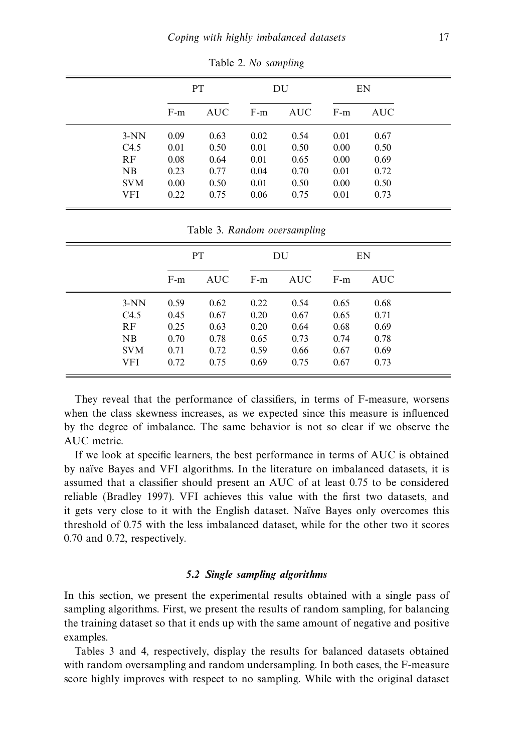|            | PT.   |            |       | DU         | EN    |                                                            |  |
|------------|-------|------------|-------|------------|-------|------------------------------------------------------------|--|
|            | $F-m$ | <b>AUC</b> | $F-m$ | <b>AUC</b> | $F-m$ | <b>AUC</b><br>0.67<br>0.50<br>0.69<br>0.72<br>0.50<br>0.73 |  |
| $3-NN$     | 0.09  | 0.63       | 0.02  | 0.54       | 0.01  |                                                            |  |
| C4.5       | 0.01  | 0.50       | 0.01  | 0.50       | 0.00  |                                                            |  |
| RF         | 0.08  | 0.64       | 0.01  | 0.65       | 0.00  |                                                            |  |
| NB         | 0.23  | 0.77       | 0.04  | 0.70       | 0.01  |                                                            |  |
| <b>SVM</b> | 0.00  | 0.50       | 0.01  | 0.50       | 0.00  |                                                            |  |
| VFI        | 0.22  | 0.75       | 0.06  | 0.75       | 0.01  |                                                            |  |

Table 2. No sampling

|  |  | Table 3. Random oversampling |
|--|--|------------------------------|
|--|--|------------------------------|

|            | PT.   |            |       | DU         |       | EN   |  |
|------------|-------|------------|-------|------------|-------|------|--|
|            | $F-m$ | <b>AUC</b> | $F-m$ | <b>AUC</b> | $F-m$ | AUC. |  |
| $3-NN$     | 0.59  | 0.62       | 0.22  | 0.54       | 0.65  | 0.68 |  |
| C4.5       | 0.45  | 0.67       | 0.20  | 0.67       | 0.65  | 0.71 |  |
| RF         | 0.25  | 0.63       | 0.20  | 0.64       | 0.68  | 0.69 |  |
| NB         | 0.70  | 0.78       | 0.65  | 0.73       | 0.74  | 0.78 |  |
| <b>SVM</b> | 0.71  | 0.72       | 0.59  | 0.66       | 0.67  | 0.69 |  |
| VFI        | 0.72  | 0.75       | 0.69  | 0.75       | 0.67  | 0.73 |  |

They reveal that the performance of classifiers, in terms of F-measure, worsens when the class skewness increases, as we expected since this measure is influenced by the degree of imbalance. The same behavior is not so clear if we observe the AUC metric.

If we look at specific learners, the best performance in terms of AUC is obtained by na¨ıve Bayes and VFI algorithms. In the literature on imbalanced datasets, it is assumed that a classifier should present an AUC of at least 0.75 to be considered reliable (Bradley 1997). VFI achieves this value with the first two datasets, and it gets very close to it with the English dataset. Naïve Bayes only overcomes this threshold of 0.75 with the less imbalanced dataset, while for the other two it scores 0.70 and 0.72, respectively.

#### *5.2 Single sampling algorithms*

In this section, we present the experimental results obtained with a single pass of sampling algorithms. First, we present the results of random sampling, for balancing the training dataset so that it ends up with the same amount of negative and positive examples.

Tables 3 and 4, respectively, display the results for balanced datasets obtained with random oversampling and random undersampling. In both cases, the F-measure score highly improves with respect to no sampling. While with the original dataset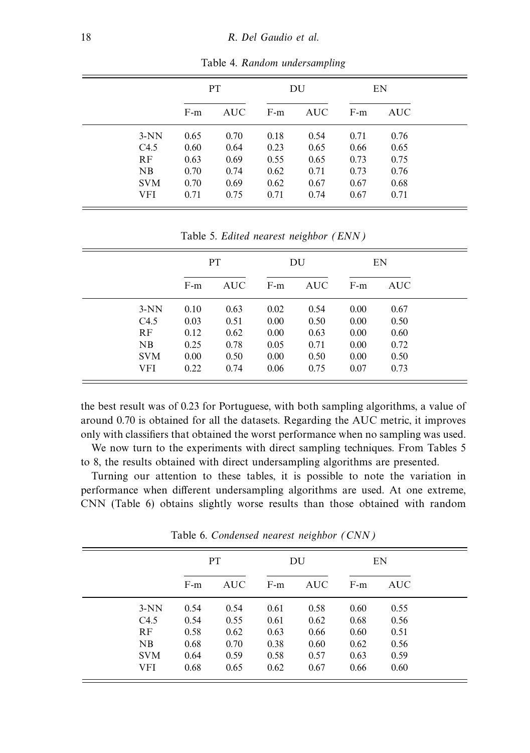|            |       | <b>PT</b>  |       | DU         | EN    |            |  |
|------------|-------|------------|-------|------------|-------|------------|--|
|            | $F-m$ | <b>AUC</b> | $F-m$ | <b>AUC</b> | $F-m$ | <b>AUC</b> |  |
| $3-NN$     | 0.65  | 0.70       | 0.18  | 0.54       | 0.71  | 0.76       |  |
| C4.5       | 0.60  | 0.64       | 0.23  | 0.65       | 0.66  | 0.65       |  |
| RF         | 0.63  | 0.69       | 0.55  | 0.65       | 0.73  | 0.75       |  |
| NB         | 0.70  | 0.74       | 0.62  | 0.71       | 0.73  | 0.76       |  |
| <b>SVM</b> | 0.70  | 0.69       | 0.62  | 0.67       | 0.67  | 0.68       |  |
| VFI        | 0.71  | 0.75       | 0.71  | 0.74       | 0.67  | 0.71       |  |

Table 4. Random undersampling

Table 5. Edited nearest neighbor (ENN)

|            | PT.   |            | DU    |      | EN    |      |
|------------|-------|------------|-------|------|-------|------|
|            | $F-m$ | <b>AUC</b> | $F-m$ | AUC. | $F-m$ | AUC- |
| $3-NN$     | 0.10  | 0.63       | 0.02  | 0.54 | 0.00  | 0.67 |
| C4.5       | 0.03  | 0.51       | 0.00  | 0.50 | 0.00  | 0.50 |
| RF         | 0.12  | 0.62       | 0.00  | 0.63 | 0.00  | 0.60 |
| NB         | 0.25  | 0.78       | 0.05  | 0.71 | 0.00  | 0.72 |
| <b>SVM</b> | 0.00  | 0.50       | 0.00  | 0.50 | 0.00  | 0.50 |
| VFI        | 0.22  | 0.74       | 0.06  | 0.75 | 0.07  | 0.73 |

the best result was of 0.23 for Portuguese, with both sampling algorithms, a value of around 0.70 is obtained for all the datasets. Regarding the AUC metric, it improves only with classifiers that obtained the worst performance when no sampling was used.

We now turn to the experiments with direct sampling techniques. From Tables 5 to 8, the results obtained with direct undersampling algorithms are presented.

Turning our attention to these tables, it is possible to note the variation in performance when different undersampling algorithms are used. At one extreme, CNN (Table 6) obtains slightly worse results than those obtained with random

|            | PT.   |            |       | DU         | EN    |            |  |
|------------|-------|------------|-------|------------|-------|------------|--|
|            | $F-m$ | <b>AUC</b> | $F-m$ | <b>AUC</b> | $F-m$ | <b>AUC</b> |  |
| $3-NN$     | 0.54  | 0.54       | 0.61  | 0.58       | 0.60  | 0.55       |  |
| C4.5       | 0.54  | 0.55       | 0.61  | 0.62       | 0.68  | 0.56       |  |
| RF         | 0.58  | 0.62       | 0.63  | 0.66       | 0.60  | 0.51       |  |
| NB         | 0.68  | 0.70       | 0.38  | 0.60       | 0.62  | 0.56       |  |
| <b>SVM</b> | 0.64  | 0.59       | 0.58  | 0.57       | 0.63  | 0.59       |  |
| <b>VFI</b> | 0.68  | 0.65       | 0.62  | 0.67       | 0.66  | 0.60       |  |

Table 6. Condensed nearest neighbor (CNN)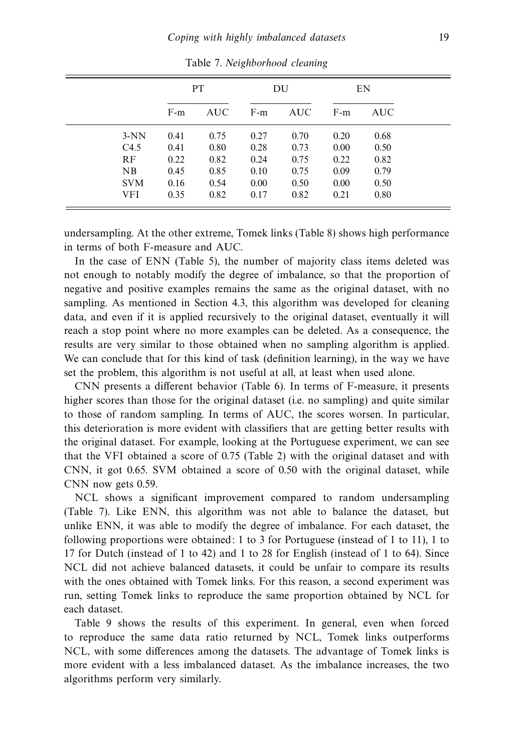|            | <b>PT</b> |            |       | DU         | EN    |            |
|------------|-----------|------------|-------|------------|-------|------------|
|            | $F-m$     | <b>AUC</b> | $F-m$ | <b>AUC</b> | $F-m$ | <b>AUC</b> |
| $3-NN$     | 0.41      | 0.75       | 0.27  | 0.70       | 0.20  | 0.68       |
| C4.5       | 0.41      | 0.80       | 0.28  | 0.73       | 0.00  | 0.50       |
| RF         | 0.22      | 0.82       | 0.24  | 0.75       | 0.22  | 0.82       |
| NB         | 0.45      | 0.85       | 0.10  | 0.75       | 0.09  | 0.79       |
| <b>SVM</b> | 0.16      | 0.54       | 0.00  | 0.50       | 0.00  | 0.50       |
| VFI        | 0.35      | 0.82       | 0.17  | 0.82       | 0.21  | 0.80       |

Table 7. Neighborhood cleaning

undersampling. At the other extreme, Tomek links (Table 8) shows high performance in terms of both F-measure and AUC.

In the case of ENN (Table 5), the number of majority class items deleted was not enough to notably modify the degree of imbalance, so that the proportion of negative and positive examples remains the same as the original dataset, with no sampling. As mentioned in Section 4.3, this algorithm was developed for cleaning data, and even if it is applied recursively to the original dataset, eventually it will reach a stop point where no more examples can be deleted. As a consequence, the results are very similar to those obtained when no sampling algorithm is applied. We can conclude that for this kind of task (definition learning), in the way we have set the problem, this algorithm is not useful at all, at least when used alone.

CNN presents a different behavior (Table 6). In terms of F-measure, it presents higher scores than those for the original dataset (i.e. no sampling) and quite similar to those of random sampling. In terms of AUC, the scores worsen. In particular, this deterioration is more evident with classifiers that are getting better results with the original dataset. For example, looking at the Portuguese experiment, we can see that the VFI obtained a score of 0.75 (Table 2) with the original dataset and with CNN, it got 0.65. SVM obtained a score of 0.50 with the original dataset, while CNN now gets 0.59.

NCL shows a significant improvement compared to random undersampling (Table 7). Like ENN, this algorithm was not able to balance the dataset, but unlike ENN, it was able to modify the degree of imbalance. For each dataset, the following proportions were obtained: 1 to 3 for Portuguese (instead of 1 to 11), 1 to 17 for Dutch (instead of 1 to 42) and 1 to 28 for English (instead of 1 to 64). Since NCL did not achieve balanced datasets, it could be unfair to compare its results with the ones obtained with Tomek links. For this reason, a second experiment was run, setting Tomek links to reproduce the same proportion obtained by NCL for each dataset.

Table 9 shows the results of this experiment. In general, even when forced to reproduce the same data ratio returned by NCL, Tomek links outperforms NCL, with some differences among the datasets. The advantage of Tomek links is more evident with a less imbalanced dataset. As the imbalance increases, the two algorithms perform very similarly.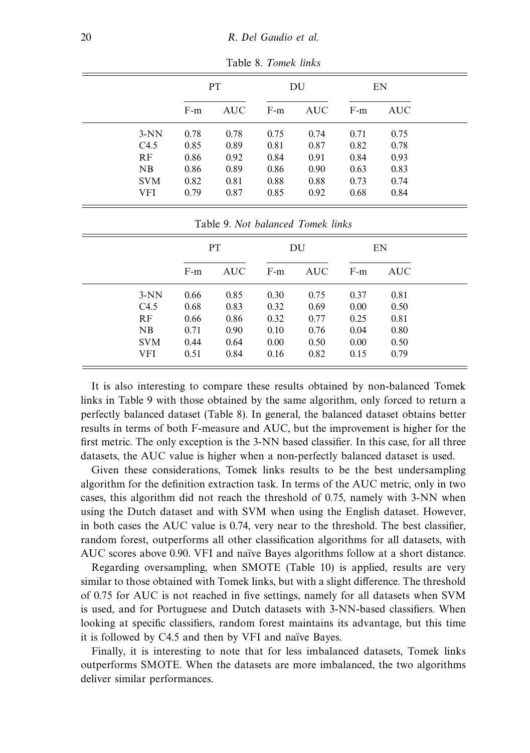|            | PT.   |            |       | DU         | EN    |            |  |
|------------|-------|------------|-------|------------|-------|------------|--|
|            | $F-m$ | <b>AUC</b> | $F-m$ | <b>AUC</b> | $F-m$ | <b>AUC</b> |  |
| $3-NN$     | 0.78  | 0.78       | 0.75  | 0.74       | 0.71  | 0.75       |  |
| C4.5       | 0.85  | 0.89       | 0.81  | 0.87       | 0.82  | 0.78       |  |
| RF         | 0.86  | 0.92       | 0.84  | 0.91       | 0.84  | 0.93       |  |
| NB         | 0.86  | 0.89       | 0.86  | 0.90       | 0.63  | 0.83       |  |
| <b>SVM</b> | 0.82  | 0.81       | 0.88  | 0.88       | 0.73  | 0.74       |  |
| VFI        | 0.79  | 0.87       | 0.85  | 0.92       | 0.68  | 0.84       |  |

Table 8. Tomek links

|            | Table 9. Not balanced Tomek links |            |       |            |       |            |  |  |  |  |  |
|------------|-----------------------------------|------------|-------|------------|-------|------------|--|--|--|--|--|
|            |                                   | <b>PT</b>  |       | DU         |       | EN         |  |  |  |  |  |
|            | $F-m$                             | <b>AUC</b> | $F-m$ | <b>AUC</b> | $F-m$ | <b>AUC</b> |  |  |  |  |  |
| $3-NN$     | 0.66                              | 0.85       | 0.30  | 0.75       | 0.37  | 0.81       |  |  |  |  |  |
| C4.5       | 0.68                              | 0.83       | 0.32  | 0.69       | 0.00  | 0.50       |  |  |  |  |  |
| <b>RF</b>  | 0.66                              | 0.86       | 0.32  | 0.77       | 0.25  | 0.81       |  |  |  |  |  |
| NB         | 0.71                              | 0.90       | 0.10  | 0.76       | 0.04  | 0.80       |  |  |  |  |  |
| <b>SVM</b> | 0.44                              | 0.64       | 0.00  | 0.50       | 0.00  | 0.50       |  |  |  |  |  |
| VFI        | 0.51                              | 0.84       | 0.16  | 0.82       | 0.15  | 0.79       |  |  |  |  |  |

It is also interesting to compare these results obtained by non-balanced Tomek links in Table 9 with those obtained by the same algorithm, only forced to return a perfectly balanced dataset (Table 8). In general, the balanced dataset obtains better results in terms of both F-measure and AUC, but the improvement is higher for the first metric. The only exception is the 3-NN based classifier. In this case, for all three datasets, the AUC value is higher when a non-perfectly balanced dataset is used.

Given these considerations, Tomek links results to be the best undersampling algorithm for the definition extraction task. In terms of the AUC metric, only in two cases, this algorithm did not reach the threshold of 0.75, namely with 3-NN when using the Dutch dataset and with SVM when using the English dataset. However, in both cases the AUC value is 0.74, very near to the threshold. The best classifier, random forest, outperforms all other classification algorithms for all datasets, with AUC scores above 0.90. VFI and naïve Bayes algorithms follow at a short distance.

Regarding oversampling, when SMOTE (Table 10) is applied, results are very similar to those obtained with Tomek links, but with a slight difference. The threshold of 0.75 for AUC is not reached in five settings, namely for all datasets when SVM is used, and for Portuguese and Dutch datasets with 3-NN-based classifiers. When looking at specific classifiers, random forest maintains its advantage, but this time it is followed by C4.5 and then by VFI and naïve Bayes.

Finally, it is interesting to note that for less imbalanced datasets, Tomek links outperforms SMOTE. When the datasets are more imbalanced, the two algorithms deliver similar performances.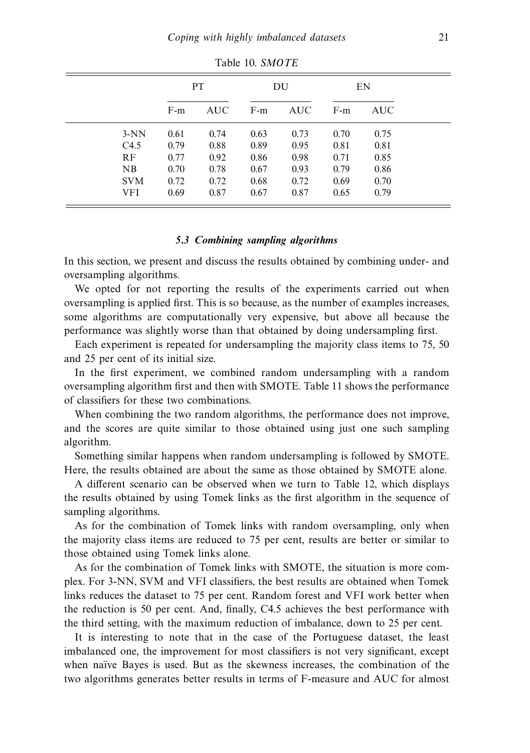|            | <b>PT</b> |            |       | DU         | EN    |      |
|------------|-----------|------------|-------|------------|-------|------|
|            | $F-m$     | <b>AUC</b> | $F-m$ | <b>AUC</b> | $F-m$ | AUC. |
| $3-NN$     | 0.61      | 0.74       | 0.63  | 0.73       | 0.70  | 0.75 |
| C4.5       | 0.79      | 0.88       | 0.89  | 0.95       | 0.81  | 0.81 |
| RF         | 0.77      | 0.92       | 0.86  | 0.98       | 0.71  | 0.85 |
| NB         | 0.70      | 0.78       | 0.67  | 0.93       | 0.79  | 0.86 |
| <b>SVM</b> | 0.72      | 0.72       | 0.68  | 0.72       | 0.69  | 0.70 |
| <b>VFI</b> | 0.69      | 0.87       | 0.67  | 0.87       | 0.65  | 0.79 |

Table 10. SMOTE

#### *5.3 Combining sampling algorithms*

In this section, we present and discuss the results obtained by combining under- and oversampling algorithms.

We opted for not reporting the results of the experiments carried out when oversampling is applied first. This is so because, as the number of examples increases, some algorithms are computationally very expensive, but above all because the performance was slightly worse than that obtained by doing undersampling first.

Each experiment is repeated for undersampling the majority class items to 75, 50 and 25 per cent of its initial size.

In the first experiment, we combined random undersampling with a random oversampling algorithm first and then with SMOTE. Table 11 shows the performance of classifiers for these two combinations.

When combining the two random algorithms, the performance does not improve, and the scores are quite similar to those obtained using just one such sampling algorithm.

Something similar happens when random undersampling is followed by SMOTE. Here, the results obtained are about the same as those obtained by SMOTE alone.

A different scenario can be observed when we turn to Table 12, which displays the results obtained by using Tomek links as the first algorithm in the sequence of sampling algorithms.

As for the combination of Tomek links with random oversampling, only when the majority class items are reduced to 75 per cent, results are better or similar to those obtained using Tomek links alone.

As for the combination of Tomek links with SMOTE, the situation is more complex. For 3-NN, SVM and VFI classifiers, the best results are obtained when Tomek links reduces the dataset to 75 per cent. Random forest and VFI work better when the reduction is 50 per cent. And, finally, C4.5 achieves the best performance with the third setting, with the maximum reduction of imbalance, down to 25 per cent.

It is interesting to note that in the case of the Portuguese dataset, the least imbalanced one, the improvement for most classifiers is not very significant, except when naïve Bayes is used. But as the skewness increases, the combination of the two algorithms generates better results in terms of F-measure and AUC for almost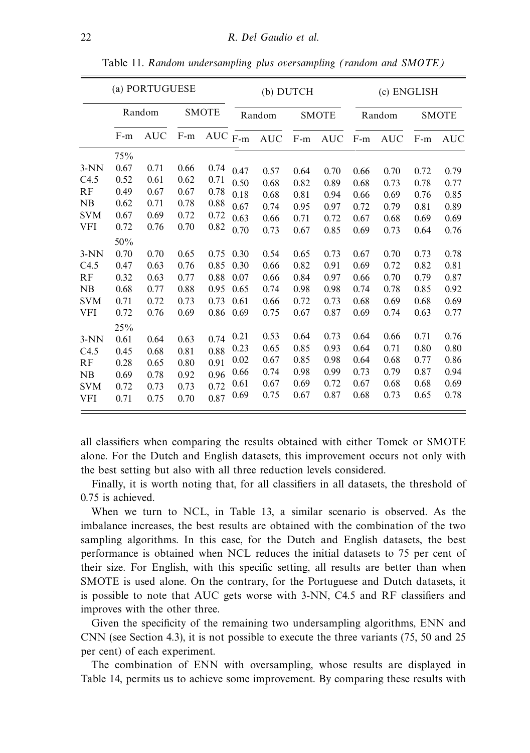|                                                                                |                                                                                    | (a) PORTUGUESE                                                       |                                                                      |                                                                      |                                                                      |                                                                      | (b) DUTCH                                                            |                                                                      | (c) ENGLISH                                                          |                                                                      |                                                                      |                                                                      |
|--------------------------------------------------------------------------------|------------------------------------------------------------------------------------|----------------------------------------------------------------------|----------------------------------------------------------------------|----------------------------------------------------------------------|----------------------------------------------------------------------|----------------------------------------------------------------------|----------------------------------------------------------------------|----------------------------------------------------------------------|----------------------------------------------------------------------|----------------------------------------------------------------------|----------------------------------------------------------------------|----------------------------------------------------------------------|
|                                                                                | Random                                                                             |                                                                      |                                                                      | <b>SMOTE</b>                                                         |                                                                      | Random                                                               |                                                                      | <b>SMOTE</b>                                                         | Random                                                               |                                                                      | <b>SMOTE</b>                                                         |                                                                      |
|                                                                                | $F-m$                                                                              | <b>AUC</b>                                                           | $F-m$                                                                | $\rm AUC$ $_{\rm F\text{-}m}$                                        |                                                                      | $\mathbf{AUC}$                                                       | $\text{F-m}$                                                         | <b>AUC</b>                                                           | $F-m$                                                                | <b>AUC</b>                                                           | $F-m$                                                                | <b>AUC</b>                                                           |
| $3-NN$<br>C4.5<br>RF<br>NB<br><b>SVM</b><br><b>VFI</b><br>$3-NN$<br>C4.5<br>RF | 75%<br>0.67<br>0.52<br>0.49<br>0.62<br>0.67<br>0.72<br>50%<br>0.70<br>0.47<br>0.32 | 0.71<br>0.61<br>0.67<br>0.71<br>0.69<br>0.76<br>0.70<br>0.63<br>0.63 | 0.66<br>0.62<br>0.67<br>0.78<br>0.72<br>0.70<br>0.65<br>0.76<br>0.77 | 0.74<br>0.71<br>0.78<br>0.88<br>0.72<br>0.82<br>0.75<br>0.85<br>0.88 | 0.47<br>0.50<br>0.18<br>0.67<br>0.63<br>0.70<br>0.30<br>0.30<br>0.07 | 0.57<br>0.68<br>0.68<br>0.74<br>0.66<br>0.73<br>0.54<br>0.66<br>0.66 | 0.64<br>0.82<br>0.81<br>0.95<br>0.71<br>0.67<br>0.65<br>0.82<br>0.84 | 0.70<br>0.89<br>0.94<br>0.97<br>0.72<br>0.85<br>0.73<br>0.91<br>0.97 | 0.66<br>0.68<br>0.66<br>0.72<br>0.67<br>0.69<br>0.67<br>0.69<br>0.66 | 0.70<br>0.73<br>0.69<br>0.79<br>0.68<br>0.73<br>0.70<br>0.72<br>0.70 | 0.72<br>0.78<br>0.76<br>0.81<br>0.69<br>0.64<br>0.73<br>0.82<br>0.79 | 0.79<br>0.77<br>0.85<br>0.89<br>0.69<br>0.76<br>0.78<br>0.81<br>0.87 |
| NB<br><b>SVM</b><br><b>VFI</b><br>$3-NN$                                       | 0.68<br>0.71<br>0.72<br>25%<br>0.61                                                | 0.77<br>0.72<br>0.76<br>0.64                                         | 0.88<br>0.73<br>0.69<br>0.63                                         | 0.95<br>0.73<br>0.86<br>0.74                                         | 0.65<br>0.61<br>0.69<br>0.21                                         | 0.74<br>0.66<br>0.75<br>0.53                                         | 0.98<br>0.72<br>0.67<br>0.64                                         | 0.98<br>0.73<br>0.87<br>0.73                                         | 0.74<br>0.68<br>0.69<br>0.64                                         | 0.78<br>0.69<br>0.74<br>0.66                                         | 0.85<br>0.68<br>0.63<br>0.71                                         | 0.92<br>0.69<br>0.77<br>0.76                                         |
| C4.5<br>RF<br>NB<br><b>SVM</b><br><b>VFI</b>                                   | 0.45<br>0.28<br>0.69<br>0.72<br>0.71                                               | 0.68<br>0.65<br>0.78<br>0.73<br>0.75                                 | 0.81<br>0.80<br>0.92<br>0.73<br>0.70                                 | 0.88<br>0.91<br>0.96<br>0.72<br>0.87                                 | 0.23<br>0.02<br>0.66<br>0.61<br>0.69                                 | 0.65<br>0.67<br>0.74<br>0.67<br>0.75                                 | 0.85<br>0.85<br>0.98<br>0.69<br>0.67                                 | 0.93<br>0.98<br>0.99<br>0.72<br>0.87                                 | 0.64<br>0.64<br>0.73<br>0.67<br>0.68                                 | 0.71<br>0.68<br>0.79<br>0.68<br>0.73                                 | 0.80<br>0.77<br>0.87<br>0.68<br>0.65                                 | 0.80<br>0.86<br>0.94<br>0.69<br>0.78                                 |

Table 11. Random undersampling plus oversampling (random and SMOTE)

all classifiers when comparing the results obtained with either Tomek or SMOTE alone. For the Dutch and English datasets, this improvement occurs not only with the best setting but also with all three reduction levels considered.

Finally, it is worth noting that, for all classifiers in all datasets, the threshold of 0.75 is achieved.

When we turn to NCL, in Table 13, a similar scenario is observed. As the imbalance increases, the best results are obtained with the combination of the two sampling algorithms. In this case, for the Dutch and English datasets, the best performance is obtained when NCL reduces the initial datasets to 75 per cent of their size. For English, with this specific setting, all results are better than when SMOTE is used alone. On the contrary, for the Portuguese and Dutch datasets, it is possible to note that AUC gets worse with 3-NN, C4.5 and RF classifiers and improves with the other three.

Given the specificity of the remaining two undersampling algorithms, ENN and CNN (see Section 4.3), it is not possible to execute the three variants (75, 50 and 25 per cent) of each experiment.

The combination of ENN with oversampling, whose results are displayed in Table 14, permits us to achieve some improvement. By comparing these results with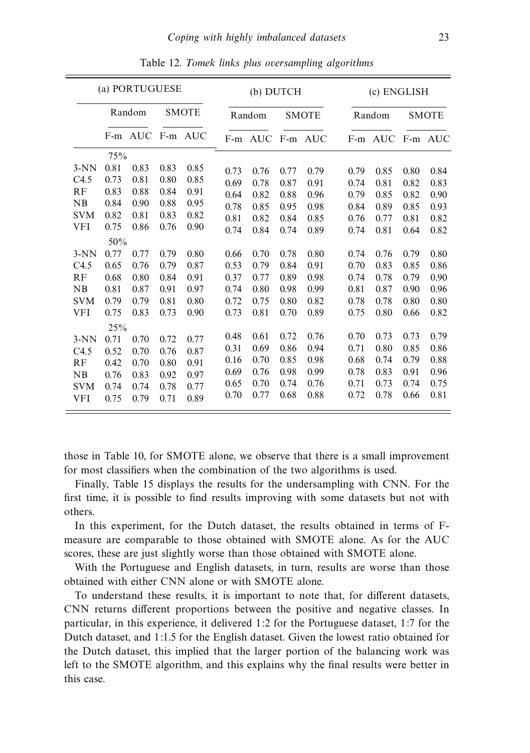|            | (a) PORTUGUESE |         |      |              |      | (b) DUTCH |      |              |      | (c) ENGLISH |      |              |  |
|------------|----------------|---------|------|--------------|------|-----------|------|--------------|------|-------------|------|--------------|--|
|            | Random         |         |      | <b>SMOTE</b> |      | Random    |      | <b>SMOTE</b> |      | Random      |      | <b>SMOTE</b> |  |
|            |                | F-m AUC |      | F-m AUC      |      | F-m AUC   |      | F-m AUC      |      | F-m AUC     |      | F-m AUC      |  |
|            | 75%            |         |      |              |      |           |      |              |      |             |      |              |  |
| $3-NN$     | 0.81           | 0.83    | 0.83 | 0.85         | 0.73 | 0.76      | 0.77 | 0.79         | 0.79 | 0.85        | 0.80 | 0.84         |  |
| C4.5       | 0.73           | 0.81    | 0.80 | 0.85         | 0.69 | 0.78      | 0.87 | 0.91         | 0.74 | 0.81        | 0.82 | 0.83         |  |
| RF         | 0.83           | 0.88    | 0.84 | 0.91         | 0.64 | 0.82      | 0.88 | 0.96         | 0.79 | 0.85        | 0.82 | 0.90         |  |
| NB         | 0.84           | 0.90    | 0.88 | 0.95         | 0.78 | 0.85      | 0.95 | 0.98         | 0.84 | 0.89        | 0.85 | 0.93         |  |
| <b>SVM</b> | 0.82           | 0.81    | 0.83 | 0.82         | 0.81 | 0.82      | 0.84 | 0.85         | 0.76 | 0.77        | 0.81 | 0.82         |  |
| VFI        | 0.75           | 0.86    | 0.76 | 0.90         | 0.74 | 0.84      | 0.74 | 0.89         | 0.74 | 0.81        | 0.64 | 0.82         |  |
|            | 50%            |         |      |              |      |           |      |              |      |             |      |              |  |
| $3-NN$     | 0.77           | 0.77    | 0.79 | 0.80         | 0.66 | 0.70      | 0.78 | 0.80         | 0.74 | 0.76        | 0.79 | 0.80         |  |
| C4.5       | 0.65           | 0.76    | 0.79 | 0.87         | 0.53 | 0.79      | 0.84 | 0.91         | 0.70 | 0.83        | 0.85 | 0.86         |  |
| RF         | 0.68           | 0.80    | 0.84 | 0.91         | 0.37 | 0.77      | 0.89 | 0.98         | 0.74 | 0.78        | 0.79 | 0.90         |  |
| NB         | 0.81           | 0.87    | 0.91 | 0.97         | 0.74 | 0.80      | 0.98 | 0.99         | 0.81 | 0.87        | 0.90 | 0.96         |  |
| <b>SVM</b> | 0.79           | 0.79    | 0.81 | 0.80         | 0.72 | 0.75      | 0.80 | 0.82         | 0.78 | 0.78        | 0.80 | 0.80         |  |
| <b>VFI</b> | 0.75           | 0.83    | 0.73 | 0.90         | 0.73 | 0.81      | 0.70 | 0.89         | 0.75 | 0.80        | 0.66 | 0.82         |  |
|            | 25%            |         |      |              |      |           |      |              |      |             |      |              |  |
| $3-NN$     | 0.71           | 0.70    | 0.72 | 0.77         | 0.48 | 0.61      | 0.72 | 0.76         | 0.70 | 0.73        | 0.73 | 0.79         |  |
| C4.5       | 0.52           | 0.70    | 0.76 | 0.87         | 0.31 | 0.69      | 0.86 | 0.94         | 0.71 | 0.80        | 0.85 | 0.86         |  |
| RF         | 0.42           | 0.70    | 0.80 | 0.91         | 0.16 | 0.70      | 0.85 | 0.98         | 0.68 | 0.74        | 0.79 | 0.88         |  |
| NB         | 0.76           | 0.83    | 0.92 | 0.97         | 0.69 | 0.76      | 0.98 | 0.99         | 0.78 | 0.83        | 0.91 | 0.96         |  |
| <b>SVM</b> | 0.74           | 0.74    | 0.78 | 0.77         | 0.65 | 0.70      | 0.74 | 0.76         | 0.71 | 0.73        | 0.74 | 0.75         |  |
| <b>VFI</b> | 0.75           | 0.79    | 0.71 | 0.89         | 0.70 | 0.77      | 0.68 | 0.88         | 0.72 | 0.78        | 0.66 | 0.81         |  |

Table 12. Tomek links plus oversampling algorithms

those in Table 10, for SMOTE alone, we observe that there is a small improvement for most classifiers when the combination of the two algorithms is used.

Finally, Table 15 displays the results for the undersampling with CNN. For the first time, it is possible to find results improving with some datasets but not with others.

In this experiment, for the Dutch dataset, the results obtained in terms of Fmeasure are comparable to those obtained with SMOTE alone. As for the AUC scores, these are just slightly worse than those obtained with SMOTE alone.

With the Portuguese and English datasets, in turn, results are worse than those obtained with either CNN alone or with SMOTE alone.

To understand these results, it is important to note that, for different datasets, CNN returns different proportions between the positive and negative classes. In particular, in this experience, it delivered 1:2 for the Portuguese dataset, 1:7 for the Dutch dataset, and 1:1.5 for the English dataset. Given the lowest ratio obtained for the Dutch dataset, this implied that the larger portion of the balancing work was left to the SMOTE algorithm, and this explains why the final results were better in this case.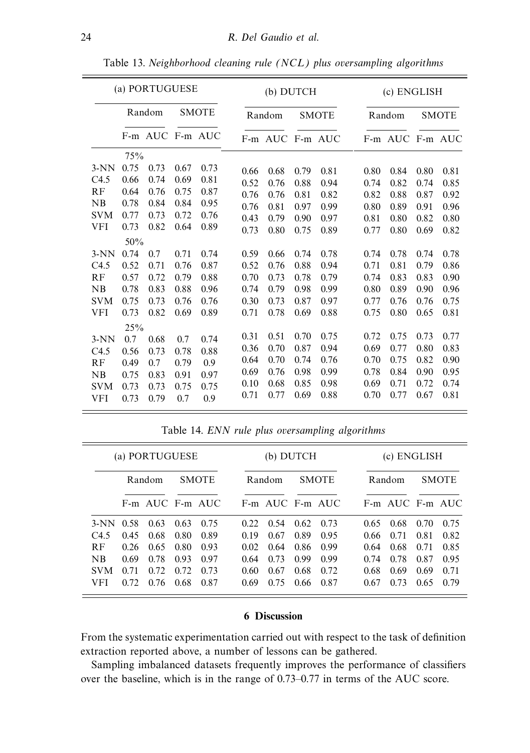| (a) PORTUGUESE |        |                 |      |              |      | (b) DUTCH       |      |              |  |        | (c) ENGLISH     |              |      |  |
|----------------|--------|-----------------|------|--------------|------|-----------------|------|--------------|--|--------|-----------------|--------------|------|--|
|                | Random |                 |      | <b>SMOTE</b> |      | Random          |      | <b>SMOTE</b> |  | Random |                 | <b>SMOTE</b> |      |  |
|                |        | F-m AUC F-m AUC |      |              |      | F-m AUC F-m AUC |      |              |  |        | F-m AUC F-m AUC |              |      |  |
|                | 75%    |                 |      |              |      |                 |      |              |  |        |                 |              |      |  |
| $3-NN$         | 0.75   | 0.73            | 0.67 | 0.73         | 0.66 | 0.68            | 0.79 | 0.81         |  | 0.80   | 0.84            | 0.80         | 0.81 |  |
| C4.5           | 0.66   | 0.74            | 0.69 | 0.81         | 0.52 | 0.76            | 0.88 | 0.94         |  | 0.74   | 0.82            | 0.74         | 0.85 |  |
| RF             | 0.64   | 0.76            | 0.75 | 0.87         | 0.76 | 0.76            | 0.81 | 0.82         |  | 0.82   | 0.88            | 0.87         | 0.92 |  |
| NB             | 0.78   | 0.84            | 0.84 | 0.95         | 0.76 | 0.81            | 0.97 | 0.99         |  | 0.80   | 0.89            | 0.91         | 0.96 |  |
| <b>SVM</b>     | 0.77   | 0.73            | 0.72 | 0.76         | 0.43 | 0.79            | 0.90 | 0.97         |  | 0.81   | 0.80            | 0.82         | 0.80 |  |
| VFI            | 0.73   | 0.82            | 0.64 | 0.89         | 0.73 | 0.80            | 0.75 | 0.89         |  | 0.77   | 0.80            | 0.69         | 0.82 |  |
|                | 50%    |                 |      |              |      |                 |      |              |  |        |                 |              |      |  |
| $3-NN$         | 0.74   | 0.7             | 0.71 | 0.74         | 0.59 | 0.66            | 0.74 | 0.78         |  | 0.74   | 0.78            | 0.74         | 0.78 |  |
| C4.5           | 0.52   | 0.71            | 0.76 | 0.87         | 0.52 | 0.76            | 0.88 | 0.94         |  | 0.71   | 0.81            | 0.79         | 0.86 |  |
| RF             | 0.57   | 0.72            | 0.79 | 0.88         | 0.70 | 0.73            | 0.78 | 0.79         |  | 0.74   | 0.83            | 0.83         | 0.90 |  |
| NB             | 0.78   | 0.83            | 0.88 | 0.96         | 0.74 | 0.79            | 0.98 | 0.99         |  | 0.80   | 0.89            | 0.90         | 0.96 |  |
| <b>SVM</b>     | 0.75   | 0.73            | 0.76 | 0.76         | 0.30 | 0.73            | 0.87 | 0.97         |  | 0.77   | 0.76            | 0.76         | 0.75 |  |
| VFI            | 0.73   | 0.82            | 0.69 | 0.89         | 0.71 | 0.78            | 0.69 | 0.88         |  | 0.75   | 0.80            | 0.65         | 0.81 |  |
|                | 25%    |                 |      |              |      |                 |      |              |  |        |                 |              |      |  |
| $3-NN$         | 0.7    | 0.68            | 0.7  | 0.74         | 0.31 | 0.51            | 0.70 | 0.75         |  | 0.72   | 0.75            | 0.73         | 0.77 |  |
| C4.5           | 0.56   | 0.73            | 0.78 | 0.88         | 0.36 | 0.70            | 0.87 | 0.94         |  | 0.69   | 0.77            | 0.80         | 0.83 |  |
| RF             | 0.49   | 0.7             | 0.79 | 0.9          | 0.64 | 0.70            | 0.74 | 0.76         |  | 0.70   | 0.75            | 0.82         | 0.90 |  |
| NB             | 0.75   | 0.83            | 0.91 | 0.97         | 0.69 | 0.76            | 0.98 | 0.99         |  | 0.78   | 0.84            | 0.90         | 0.95 |  |
| <b>SVM</b>     | 0.73   | 0.73            | 0.75 | 0.75         | 0.10 | 0.68            | 0.85 | 0.98         |  | 0.69   | 0.71            | 0.72         | 0.74 |  |
| <b>VFI</b>     | 0.73   | 0.79            | 0.7  | 0.9          | 0.71 | 0.77            | 0.69 | 0.88         |  | 0.70   | 0.77            | 0.67         | 0.81 |  |

Table 13. Neighborhood cleaning rule (NCL) plus oversampling algorithms

Table 14. ENN rule plus oversampling algorithms

|             |      | (a) PORTUGUESE  |      |              |      | (b) DUTCH                        |      |      | (c) ENGLISH  |                     |      |      |
|-------------|------|-----------------|------|--------------|------|----------------------------------|------|------|--------------|---------------------|------|------|
|             |      | Random          |      | <b>SMOTE</b> |      | <b>SMOTE</b><br>Random<br>Random |      |      | <b>SMOTE</b> |                     |      |      |
|             |      | F-m AUC F-m AUC |      |              |      | $F-m$ AUC $F-m$ AUC              |      |      |              | $F-m$ AUC $F-m$ AUC |      |      |
| 3-NN 0.58   |      | 0.63            | 0.63 | 0.75         | 0.22 | 0.54                             | 0.62 | 0.73 | 0.65         | 0.68                | 0.70 | 0.75 |
| C4.5        | 0.45 | 0.68            | 0.80 | 0.89         | 0.19 | 0.67                             | 0.89 | 0.95 | 0.66         | 0.71                | 0.81 | 0.82 |
| <b>RF</b>   | 0.26 | 0.65            | 0.80 | 0.93         | 0.02 | 0.64                             | 0.86 | 0.99 | 0.64         | 0.68                | 0.71 | 0.85 |
| $N_{\rm B}$ | 0.69 | 0.78            | 0.93 | 0.97         | 0.64 | 0.73                             | 0.99 | 0.99 | 0.74         | 0.78                | 0.87 | 0.95 |
| <b>SVM</b>  | 0.71 | 0.72            | 0.72 | 0.73         | 0.60 | 0.67                             | 0.68 | 0.72 | 0.68         | 0.69                | 0.69 | 0.71 |
| VFI.        | 0.72 | 0.76            | 0.68 | 0.87         | 0.69 | 0.75                             | 0.66 | 0.87 | 0.67         | 0.73                | 0.65 | 0.79 |

#### **6 Discussion**

From the systematic experimentation carried out with respect to the task of definition extraction reported above, a number of lessons can be gathered.

Sampling imbalanced datasets frequently improves the performance of classifiers over the baseline, which is in the range of 0.73–0.77 in terms of the AUC score.

 $\equiv$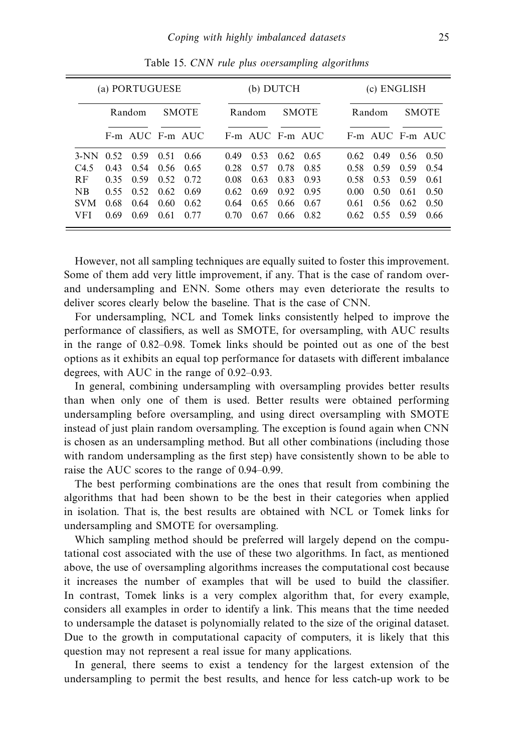|                  | (a) PORTUGUESE     |                 |      |              |      |                 | (b) DUTCH |              | (c) ENGLISH |                 |       |              |
|------------------|--------------------|-----------------|------|--------------|------|-----------------|-----------|--------------|-------------|-----------------|-------|--------------|
|                  | R <sub>andom</sub> |                 |      | <b>SMOTE</b> |      | Random          |           | <b>SMOTE</b> |             | Random          |       | <b>SMOTE</b> |
|                  |                    | F-m AUC F-m AUC |      |              |      | F-m AUC F-m AUC |           |              |             | F-m AUC F-m AUC |       |              |
| $3-NN$ 0.52 0.59 |                    |                 | 0.51 | 0.66         | 0.49 | 0.53            | 0.62      | 0.65         | 0.62        | 0.49            | 0.56  | 0.50         |
| C4.5             | 0.43               | 0.54            | 0.56 | -0.65        | 0.28 | 0.57            | 0.78      | 0.85         | 0.58        | 0.59            | 0.59  | 0.54         |
| <b>RF</b>        | 0.35               | 0.59            | 0.52 | 0.72         | 0.08 | 0.63            | 0.83      | 0.93         | 0.58        | 0.53            | 0.59  | 0.61         |
| <b>NB</b>        | 0.55               | 0.52            | 0.62 | 0.69         | 0.62 | 0.69            | 0.92      | 0.95         | 0.00        | 0.50            | 0.61  | 0.50         |
| <b>SVM</b>       | 0.68               | 0.64            | 0.60 | 0.62         | 0.64 | 0.65            | 0.66      | 0.67         | 0.61        | 0.56            | -0.62 | 0.50         |
| VFI              | 0.69               | 0.69            | 0.61 | 0.77         | 0.70 | 0.67            | 0.66      | 0.82         | 0.62.       | 0.55            | 0.59  | 0.66         |

Table 15. CNN rule plus oversampling algorithms

However, not all sampling techniques are equally suited to foster this improvement. Some of them add very little improvement, if any. That is the case of random overand undersampling and ENN. Some others may even deteriorate the results to deliver scores clearly below the baseline. That is the case of CNN.

For undersampling, NCL and Tomek links consistently helped to improve the performance of classifiers, as well as SMOTE, for oversampling, with AUC results in the range of 0.82–0.98. Tomek links should be pointed out as one of the best options as it exhibits an equal top performance for datasets with different imbalance degrees, with AUC in the range of 0.92–0.93.

In general, combining undersampling with oversampling provides better results than when only one of them is used. Better results were obtained performing undersampling before oversampling, and using direct oversampling with SMOTE instead of just plain random oversampling. The exception is found again when CNN is chosen as an undersampling method. But all other combinations (including those with random undersampling as the first step) have consistently shown to be able to raise the AUC scores to the range of 0.94–0.99.

The best performing combinations are the ones that result from combining the algorithms that had been shown to be the best in their categories when applied in isolation. That is, the best results are obtained with NCL or Tomek links for undersampling and SMOTE for oversampling.

Which sampling method should be preferred will largely depend on the computational cost associated with the use of these two algorithms. In fact, as mentioned above, the use of oversampling algorithms increases the computational cost because it increases the number of examples that will be used to build the classifier. In contrast, Tomek links is a very complex algorithm that, for every example, considers all examples in order to identify a link. This means that the time needed to undersample the dataset is polynomially related to the size of the original dataset. Due to the growth in computational capacity of computers, it is likely that this question may not represent a real issue for many applications.

In general, there seems to exist a tendency for the largest extension of the undersampling to permit the best results, and hence for less catch-up work to be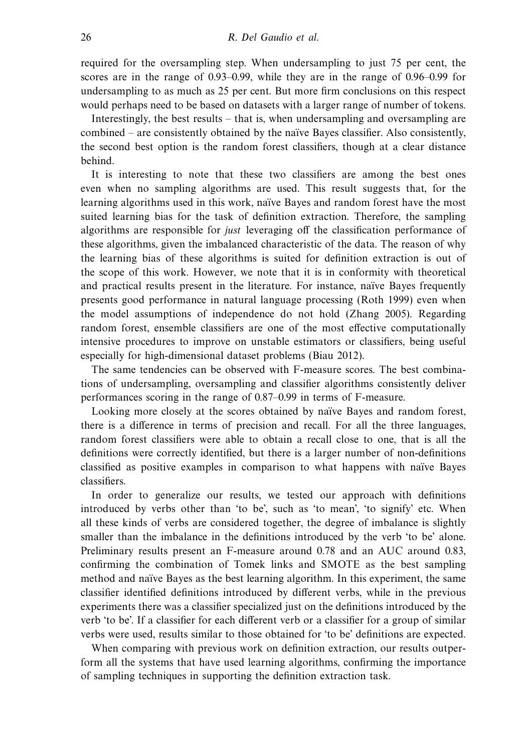required for the oversampling step. When undersampling to just 75 per cent, the scores are in the range of 0.93–0.99, while they are in the range of 0.96–0.99 for undersampling to as much as 25 per cent. But more firm conclusions on this respect would perhaps need to be based on datasets with a larger range of number of tokens.

Interestingly, the best results – that is, when undersampling and oversampling are combined – are consistently obtained by the naïve Bayes classifier. Also consistently, the second best option is the random forest classifiers, though at a clear distance behind.

It is interesting to note that these two classifiers are among the best ones even when no sampling algorithms are used. This result suggests that, for the learning algorithms used in this work, naïve Bayes and random forest have the most suited learning bias for the task of definition extraction. Therefore, the sampling algorithms are responsible for just leveraging off the classification performance of these algorithms, given the imbalanced characteristic of the data. The reason of why the learning bias of these algorithms is suited for definition extraction is out of the scope of this work. However, we note that it is in conformity with theoretical and practical results present in the literature. For instance, naïve Bayes frequently presents good performance in natural language processing (Roth 1999) even when the model assumptions of independence do not hold (Zhang 2005). Regarding random forest, ensemble classifiers are one of the most effective computationally intensive procedures to improve on unstable estimators or classifiers, being useful especially for high-dimensional dataset problems (Biau 2012).

The same tendencies can be observed with F-measure scores. The best combinations of undersampling, oversampling and classifier algorithms consistently deliver performances scoring in the range of 0.87–0.99 in terms of F-measure.

Looking more closely at the scores obtained by naïve Bayes and random forest, there is a difference in terms of precision and recall. For all the three languages, random forest classifiers were able to obtain a recall close to one, that is all the definitions were correctly identified, but there is a larger number of non-definitions classified as positive examples in comparison to what happens with naïve Bayes classifiers.

In order to generalize our results, we tested our approach with definitions introduced by verbs other than 'to be', such as 'to mean', 'to signify' etc. When all these kinds of verbs are considered together, the degree of imbalance is slightly smaller than the imbalance in the definitions introduced by the verb 'to be' alone. Preliminary results present an F-measure around 0.78 and an AUC around 0.83, confirming the combination of Tomek links and SMOTE as the best sampling method and naïve Bayes as the best learning algorithm. In this experiment, the same classifier identified definitions introduced by different verbs, while in the previous experiments there was a classifier specialized just on the definitions introduced by the verb 'to be'. If a classifier for each different verb or a classifier for a group of similar verbs were used, results similar to those obtained for 'to be' definitions are expected.

When comparing with previous work on definition extraction, our results outperform all the systems that have used learning algorithms, confirming the importance of sampling techniques in supporting the definition extraction task.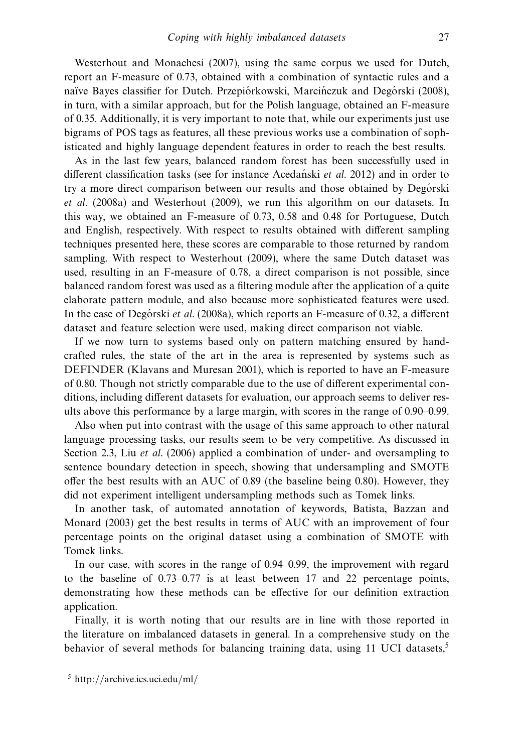Westerhout and Monachesi (2007), using the same corpus we used for Dutch, report an F-measure of 0.73, obtained with a combination of syntactic rules and a naïve Bayes classifier for Dutch. Przepiórkowski, Marci nczuk and Degórski (2008), in turn, with a similar approach, but for the Polish language, obtained an F-measure of 0.35. Additionally, it is very important to note that, while our experiments just use bigrams of POS tags as features, all these previous works use a combination of sophisticated and highly language dependent features in order to reach the best results.

As in the last few years, balanced random forest has been successfully used in different classification tasks (see for instance Acedanski *et al.* 2012) and in order to try a more direct comparison between our results and those obtained by Degorski et al. (2008a) and Westerhout (2009), we run this algorithm on our datasets. In this way, we obtained an F-measure of 0.73, 0.58 and 0.48 for Portuguese, Dutch and English, respectively. With respect to results obtained with different sampling techniques presented here, these scores are comparable to those returned by random sampling. With respect to Westerhout (2009), where the same Dutch dataset was used, resulting in an F-measure of 0.78, a direct comparison is not possible, since balanced random forest was used as a filtering module after the application of a quite elaborate pattern module, and also because more sophisticated features were used. In the case of Degorski et al. (2008a), which reports an F-measure of 0.32, a different dataset and feature selection were used, making direct comparison not viable.

If we now turn to systems based only on pattern matching ensured by handcrafted rules, the state of the art in the area is represented by systems such as DEFINDER (Klavans and Muresan 2001), which is reported to have an F-measure of 0.80. Though not strictly comparable due to the use of different experimental conditions, including different datasets for evaluation, our approach seems to deliver results above this performance by a large margin, with scores in the range of 0.90–0.99.

Also when put into contrast with the usage of this same approach to other natural language processing tasks, our results seem to be very competitive. As discussed in Section 2.3, Liu *et al.* (2006) applied a combination of under- and oversampling to sentence boundary detection in speech, showing that undersampling and SMOTE offer the best results with an AUC of 0.89 (the baseline being 0.80). However, they did not experiment intelligent undersampling methods such as Tomek links.

In another task, of automated annotation of keywords, Batista, Bazzan and Monard (2003) get the best results in terms of AUC with an improvement of four percentage points on the original dataset using a combination of SMOTE with Tomek links.

In our case, with scores in the range of 0.94–0.99, the improvement with regard to the baseline of 0.73–0.77 is at least between 17 and 22 percentage points, demonstrating how these methods can be effective for our definition extraction application.

Finally, it is worth noting that our results are in line with those reported in the literature on imbalanced datasets in general. In a comprehensive study on the behavior of several methods for balancing training data, using 11 UCI datasets, $5$ 

<sup>5</sup> http://archive.ics.uci.edu/ml/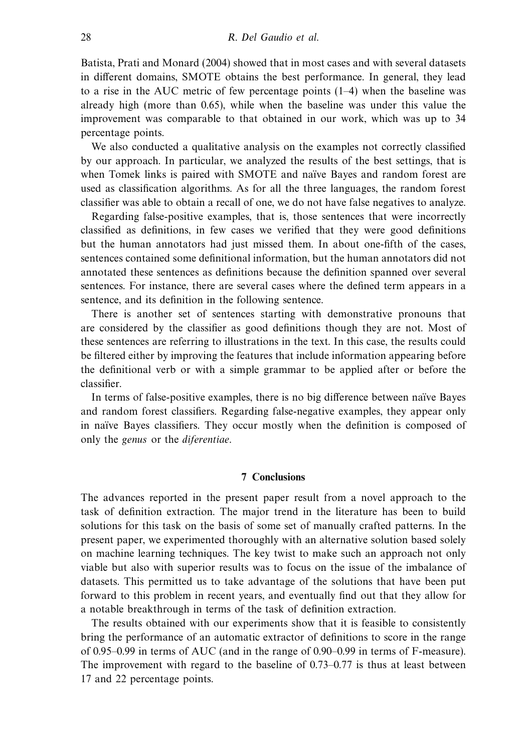Batista, Prati and Monard (2004) showed that in most cases and with several datasets in different domains, SMOTE obtains the best performance. In general, they lead to a rise in the AUC metric of few percentage points (1–4) when the baseline was already high (more than 0.65), while when the baseline was under this value the improvement was comparable to that obtained in our work, which was up to 34 percentage points.

We also conducted a qualitative analysis on the examples not correctly classified by our approach. In particular, we analyzed the results of the best settings, that is when Tomek links is paired with SMOTE and naïve Bayes and random forest are used as classification algorithms. As for all the three languages, the random forest classifier was able to obtain a recall of one, we do not have false negatives to analyze.

Regarding false-positive examples, that is, those sentences that were incorrectly classified as definitions, in few cases we verified that they were good definitions but the human annotators had just missed them. In about one-fifth of the cases, sentences contained some definitional information, but the human annotators did not annotated these sentences as definitions because the definition spanned over several sentences. For instance, there are several cases where the defined term appears in a sentence, and its definition in the following sentence.

There is another set of sentences starting with demonstrative pronouns that are considered by the classifier as good definitions though they are not. Most of these sentences are referring to illustrations in the text. In this case, the results could be filtered either by improving the features that include information appearing before the definitional verb or with a simple grammar to be applied after or before the classifier.

In terms of false-positive examples, there is no big difference between naïve Bayes and random forest classifiers. Regarding false-negative examples, they appear only in naïve Bayes classifiers. They occur mostly when the definition is composed of only the genus or the diferentiae.

#### **7 Conclusions**

The advances reported in the present paper result from a novel approach to the task of definition extraction. The major trend in the literature has been to build solutions for this task on the basis of some set of manually crafted patterns. In the present paper, we experimented thoroughly with an alternative solution based solely on machine learning techniques. The key twist to make such an approach not only viable but also with superior results was to focus on the issue of the imbalance of datasets. This permitted us to take advantage of the solutions that have been put forward to this problem in recent years, and eventually find out that they allow for a notable breakthrough in terms of the task of definition extraction.

The results obtained with our experiments show that it is feasible to consistently bring the performance of an automatic extractor of definitions to score in the range of 0.95–0.99 in terms of AUC (and in the range of 0.90–0.99 in terms of F-measure). The improvement with regard to the baseline of 0.73–0.77 is thus at least between 17 and 22 percentage points.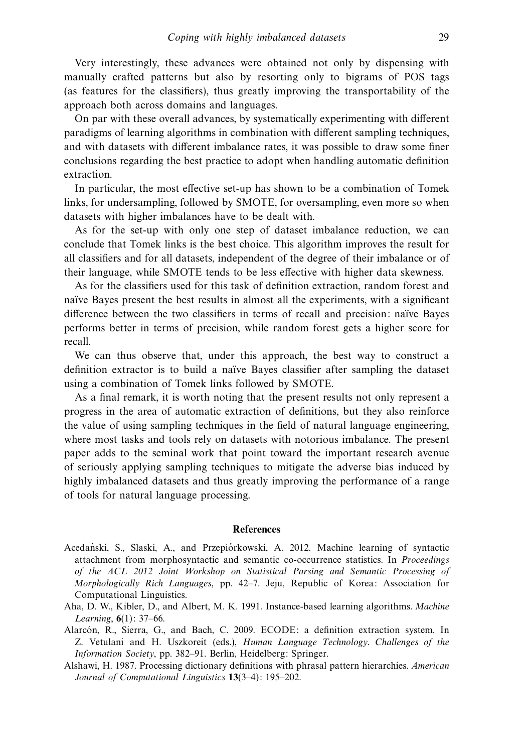Very interestingly, these advances were obtained not only by dispensing with manually crafted patterns but also by resorting only to bigrams of POS tags (as features for the classifiers), thus greatly improving the transportability of the approach both across domains and languages.

On par with these overall advances, by systematically experimenting with different paradigms of learning algorithms in combination with different sampling techniques, and with datasets with different imbalance rates, it was possible to draw some finer conclusions regarding the best practice to adopt when handling automatic definition extraction.

In particular, the most effective set-up has shown to be a combination of Tomek links, for undersampling, followed by SMOTE, for oversampling, even more so when datasets with higher imbalances have to be dealt with.

As for the set-up with only one step of dataset imbalance reduction, we can conclude that Tomek links is the best choice. This algorithm improves the result for all classifiers and for all datasets, independent of the degree of their imbalance or of their language, while SMOTE tends to be less effective with higher data skewness.

As for the classifiers used for this task of definition extraction, random forest and naïve Bayes present the best results in almost all the experiments, with a significant difference between the two classifiers in terms of recall and precision: naïve Bayes performs better in terms of precision, while random forest gets a higher score for recall.

We can thus observe that, under this approach, the best way to construct a definition extractor is to build a naïve Bayes classifier after sampling the dataset using a combination of Tomek links followed by SMOTE.

As a final remark, it is worth noting that the present results not only represent a progress in the area of automatic extraction of definitions, but they also reinforce the value of using sampling techniques in the field of natural language engineering, where most tasks and tools rely on datasets with notorious imbalance. The present paper adds to the seminal work that point toward the important research avenue of seriously applying sampling techniques to mitigate the adverse bias induced by highly imbalanced datasets and thus greatly improving the performance of a range of tools for natural language processing.

#### **References**

- Acedański, S., Slaski, A., and Przepiórkowski, A. 2012. Machine learning of syntactic attachment from morphosyntactic and semantic co-occurrence statistics. In Proceedings of the ACL 2012 Joint Workshop on Statistical Parsing and Semantic Processing of Morphologically Rich Languages, pp. 42–7. Jeju, Republic of Korea: Association for Computational Linguistics.
- Aha, D. W., Kibler, D., and Albert, M. K. 1991. Instance-based learning algorithms. Machine Learning, **6**(1): 37–66.
- Alarcon, R., Sierra, G., and Bach, C. 2009. ECODE: a definition extraction system. In Z. Vetulani and H. Uszkoreit (eds.), Human Language Technology. Challenges of the Information Society, pp. 382–91. Berlin, Heidelberg: Springer.
- Alshawi, H. 1987. Processing dictionary definitions with phrasal pattern hierarchies. American Journal of Computational Linguistics **13**(3–4): 195–202.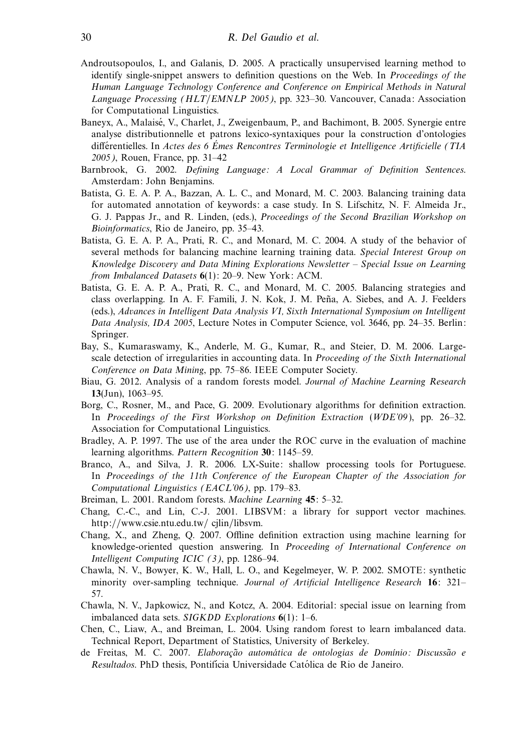- Androutsopoulos, I., and Galanis, D. 2005. A practically unsupervised learning method to identify single-snippet answers to definition questions on the Web. In Proceedings of the Human Language Technology Conference and Conference on Empirical Methods in Natural Language Processing (HLT/EMNLP 2005), pp. 323–30. Vancouver, Canada: Association for Computational Linguistics.
- Baneyx, A., Malaisé, V., Charlet, J., Zweigenbaum, P., and Bachimont, B. 2005. Synergie entre analyse distributionnelle et patrons lexico-syntaxiques pour la construction d'ontologies différentielles. In Actes des 6 Émes Rencontres Terminologie et Intelligence Artificielle (TIA 2005), Rouen, France, pp. 31–42
- Barnbrook, G. 2002. Defining Language: A Local Grammar of Definition Sentences. Amsterdam: John Benjamins.
- Batista, G. E. A. P. A., Bazzan, A. L. C., and Monard, M. C. 2003. Balancing training data for automated annotation of keywords: a case study. In S. Lifschitz, N. F. Almeida Jr., G. J. Pappas Jr., and R. Linden, (eds.), Proceedings of the Second Brazilian Workshop on Bioinformatics, Rio de Janeiro, pp. 35–43.
- Batista, G. E. A. P. A., Prati, R. C., and Monard, M. C. 2004. A study of the behavior of several methods for balancing machine learning training data. Special Interest Group on Knowledge Discovery and Data Mining Explorations Newsletter – Special Issue on Learning from Imbalanced Datasets **6**(1): 20–9. New York: ACM.
- Batista, G. E. A. P. A., Prati, R. C., and Monard, M. C. 2005. Balancing strategies and class overlapping. In A. F. Famili, J. N. Kok, J. M. Peña, A. Siebes, and A. J. Feelders (eds.), Advances in Intelligent Data Analysis VI, Sixth International Symposium on Intelligent Data Analysis, IDA 2005, Lecture Notes in Computer Science, vol. 3646, pp. 24–35. Berlin: Springer.
- Bay, S., Kumaraswamy, K., Anderle, M. G., Kumar, R., and Steier, D. M. 2006. Largescale detection of irregularities in accounting data. In *Proceeding of the Sixth International* Conference on Data Mining, pp. 75–86. IEEE Computer Society.
- Biau, G. 2012. Analysis of a random forests model. Journal of Machine Learning Research **13**(Jun), 1063–95.
- Borg, C., Rosner, M., and Pace, G. 2009. Evolutionary algorithms for definition extraction. In Proceedings of the First Workshop on Definition Extraction (WDE'09 ), pp. 26–32. Association for Computational Linguistics.
- Bradley, A. P. 1997. The use of the area under the ROC curve in the evaluation of machine learning algorithms. Pattern Recognition **30**: 1145–59.
- Branco, A., and Silva, J. R. 2006. LX-Suite: shallow processing tools for Portuguese. In Proceedings of the 11th Conference of the European Chapter of the Association for Computational Linguistics (EACL'06), pp. 179–83.
- Breiman, L. 2001. Random forests. Machine Learning **45**: 5–32.
- Chang, C.-C., and Lin, C.-J. 2001. LIBSVM: a library for support vector machines. http://www.csie.ntu.edu.tw/ cjlin/libsvm.
- Chang, X., and Zheng, Q. 2007. Offline definition extraction using machine learning for knowledge-oriented question answering. In Proceeding of International Conference on Intelligent Computing ICIC (3), pp. 1286–94.
- Chawla, N. V., Bowyer, K. W., Hall, L. O., and Kegelmeyer, W. P. 2002. SMOTE: synthetic minority over-sampling technique. Journal of Artificial Intelligence Research **16**: 321– 57.
- Chawla, N. V., Japkowicz, N., and Kotcz, A. 2004. Editorial: special issue on learning from imbalanced data sets. SIGKDD Explorations **6**(1): 1–6.
- Chen, C., Liaw, A., and Breiman, L. 2004. Using random forest to learn imbalanced data. Technical Report, Department of Statistics, University of Berkeley.
- de Freitas, M. C. 2007. Elaboração automática de ontologias de Domínio: Discussão e Resultados. PhD thesis, Pontifícia Universidade Católica de Rio de Janeiro.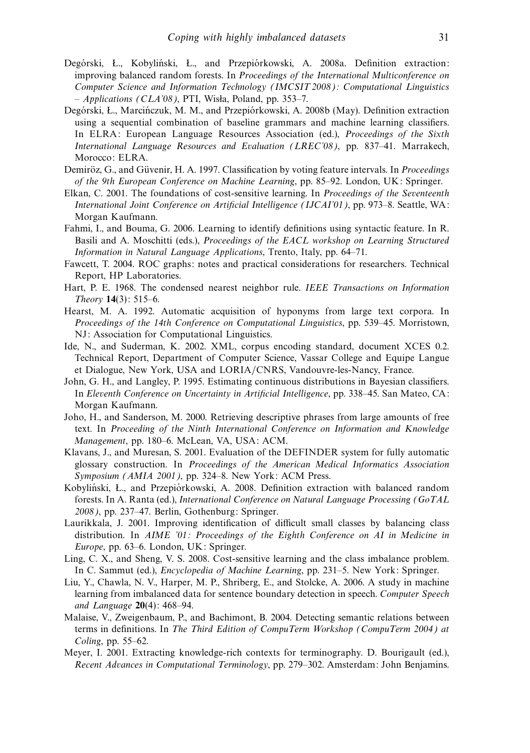- Degórski, Ł., Kobyliński, Ł., and Przepiórkowski, A. 2008a. Definition extraction: improving balanced random forests. In Proceedings of the International Multiconference on Computer Science and Information Technology (IMCSIT 2008): Computational Linguistics  $-$  Applications (CLA'08), PTI, Wisła, Poland, pp. 353–7.
- Degórski, L., Marcinczuk, M. M., and Przepiórkowski, A. 2008b (May). Definition extraction using a sequential combination of baseline grammars and machine learning classifiers. In ELRA: European Language Resources Association (ed.), Proceedings of the Sixth International Language Resources and Evaluation (LREC'08), pp. 837–41. Marrakech, Morocco: ELRA.
- Demiröz, G., and Güvenir, H. A. 1997. Classification by voting feature intervals. In *Proceedings* of the 9th European Conference on Machine Learning, pp. 85–92. London, UK: Springer.
- Elkan, C. 2001. The foundations of cost-sensitive learning. In Proceedings of the Seventeenth International Joint Conference on Artificial Intelligence (IJCAI'01), pp. 973–8. Seattle, WA: Morgan Kaufmann.
- Fahmi, I., and Bouma, G. 2006. Learning to identify definitions using syntactic feature. In R. Basili and A. Moschitti (eds.), Proceedings of the EACL workshop on Learning Structured Information in Natural Language Applications, Trento, Italy, pp. 64–71.
- Fawcett, T. 2004. ROC graphs: notes and practical considerations for researchers. Technical Report, HP Laboratories.
- Hart, P. E. 1968. The condensed nearest neighbor rule. IEEE Transactions on Information Theory **14**(3): 515–6.
- Hearst, M. A. 1992. Automatic acquisition of hyponyms from large text corpora. In Proceedings of the 14th Conference on Computational Linguistics, pp. 539–45. Morristown, NJ: Association for Computational Linguistics.
- Ide, N., and Suderman, K. 2002. XML, corpus encoding standard, document XCES 0.2. Technical Report, Department of Computer Science, Vassar College and Equipe Langue et Dialogue, New York, USA and LORIA/CNRS, Vandouvre-les-Nancy, France.
- John, G. H., and Langley, P. 1995. Estimating continuous distributions in Bayesian classifiers. In Eleventh Conference on Uncertainty in Artificial Intelligence, pp. 338–45. San Mateo, CA: Morgan Kaufmann.
- Joho, H., and Sanderson, M. 2000. Retrieving descriptive phrases from large amounts of free text. In Proceeding of the Ninth International Conference on Information and Knowledge Management, pp. 180–6. McLean, VA, USA: ACM.
- Klavans, J., and Muresan, S. 2001. Evaluation of the DEFINDER system for fully automatic glossary construction. In Proceedings of the American Medical Informatics Association Symposium (AMIA 2001), pp. 324–8. New York: ACM Press.
- Kobyliński, Ł., and Przepiórkowski, A. 2008. Definition extraction with balanced random forests. In A. Ranta (ed.), International Conference on Natural Language Processing (GoTAL 2008), pp. 237–47. Berlin, Gothenburg: Springer.
- Laurikkala, J. 2001. Improving identification of difficult small classes by balancing class distribution. In AIME '01: Proceedings of the Eighth Conference on AI in Medicine in Europe, pp. 63–6. London, UK: Springer.
- Ling, C. X., and Sheng, V. S. 2008. Cost-sensitive learning and the class imbalance problem. In C. Sammut (ed.), Encyclopedia of Machine Learning, pp. 231–5. New York: Springer.
- Liu, Y., Chawla, N. V., Harper, M. P., Shriberg, E., and Stolcke, A. 2006. A study in machine learning from imbalanced data for sentence boundary detection in speech. Computer Speech and Language **20**(4): 468–94.
- Malaise, V., Zweigenbaum, P., and Bachimont, B. 2004. Detecting semantic relations between terms in definitions. In The Third Edition of CompuTerm Workshop (CompuTerm 2004) at Coling, pp. 55–62.
- Meyer, I. 2001. Extracting knowledge-rich contexts for terminography. D. Bourigault (ed.), Recent Advances in Computational Terminology, pp. 279–302. Amsterdam: John Benjamins.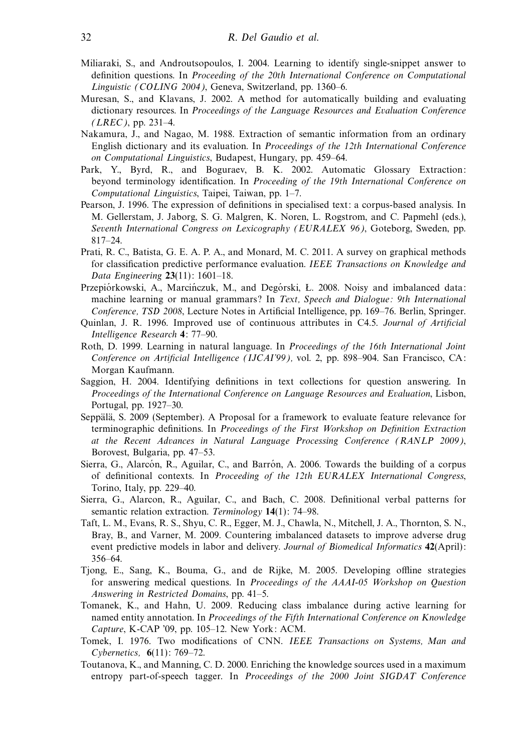- Miliaraki, S., and Androutsopoulos, I. 2004. Learning to identify single-snippet answer to definition questions. In Proceeding of the 20th International Conference on Computational Linguistic (COLING 2004), Geneva, Switzerland, pp. 1360–6.
- Muresan, S., and Klavans, J. 2002. A method for automatically building and evaluating dictionary resources. In Proceedings of the Language Resources and Evaluation Conference  $(LREC)$ , pp. 231–4.
- Nakamura, J., and Nagao, M. 1988. Extraction of semantic information from an ordinary English dictionary and its evaluation. In Proceedings of the 12th International Conference on Computational Linguistics, Budapest, Hungary, pp. 459–64.
- Park, Y., Byrd, R., and Boguraev, B. K. 2002. Automatic Glossary Extraction: beyond terminology identification. In Proceeding of the 19th International Conference on Computational Linguistics, Taipei, Taiwan, pp. 1–7.
- Pearson, J. 1996. The expression of definitions in specialised text: a corpus-based analysis. In M. Gellerstam, J. Jaborg, S. G. Malgren, K. Noren, L. Rogstrom, and C. Papmehl (eds.), Seventh International Congress on Lexicography (EURALEX 96), Goteborg, Sweden, pp. 817–24.
- Prati, R. C., Batista, G. E. A. P. A., and Monard, M. C. 2011. A survey on graphical methods for classification predictive performance evaluation. IEEE Transactions on Knowledge and Data Engineering **23**(11): 1601–18.
- Przepiórkowski, A., Marcińczuk, M., and Degórski, Ł. 2008. Noisy and imbalanced data: machine learning or manual grammars? In Text, Speech and Dialogue: 9th International Conference, TSD 2008, Lecture Notes in Artificial Intelligence, pp. 169–76. Berlin, Springer.
- Quinlan, J. R. 1996. Improved use of continuous attributes in C4.5. Journal of Artificial Intelligence Research **4**: 77–90.
- Roth, D. 1999. Learning in natural language. In Proceedings of the 16th International Joint Conference on Artificial Intelligence (IJCAI'99), vol. 2, pp. 898–904. San Francisco, CA: Morgan Kaufmann.
- Saggion, H. 2004. Identifying definitions in text collections for question answering. In Proceedings of the International Conference on Language Resources and Evaluation, Lisbon, Portugal, pp. 1927–30.
- Seppälä, S. 2009 (September). A Proposal for a framework to evaluate feature relevance for terminographic definitions. In Proceedings of the First Workshop on Definition Extraction at the Recent Advances in Natural Language Processing Conference (RANLP 2009), Borovest, Bulgaria, pp. 47–53.
- Sierra, G., Alarcón, R., Aguilar, C., and Barrón, A. 2006. Towards the building of a corpus of definitional contexts. In Proceeding of the 12th EURALEX International Congress, Torino, Italy, pp. 229–40.
- Sierra, G., Alarcon, R., Aguilar, C., and Bach, C. 2008. Definitional verbal patterns for semantic relation extraction. Terminology **14**(1): 74–98.
- Taft, L. M., Evans, R. S., Shyu, C. R., Egger, M. J., Chawla, N., Mitchell, J. A., Thornton, S. N., Bray, B., and Varner, M. 2009. Countering imbalanced datasets to improve adverse drug event predictive models in labor and delivery. Journal of Biomedical Informatics **42**(April): 356–64.
- Tjong, E., Sang, K., Bouma, G., and de Rijke, M. 2005. Developing offline strategies for answering medical questions. In Proceedings of the AAAI-05 Workshop on Question Answering in Restricted Domains, pp. 41–5.
- Tomanek, K., and Hahn, U. 2009. Reducing class imbalance during active learning for named entity annotation. In Proceedings of the Fifth International Conference on Knowledge Capture, K-CAP '09, pp. 105–12. New York: ACM.
- Tomek, I. 1976. Two modifications of CNN. IEEE Transactions on Systems, Man and Cybernetics, **6**(11): 769–72.
- Toutanova, K., and Manning, C. D. 2000. Enriching the knowledge sources used in a maximum entropy part-of-speech tagger. In Proceedings of the 2000 Joint SIGDAT Conference